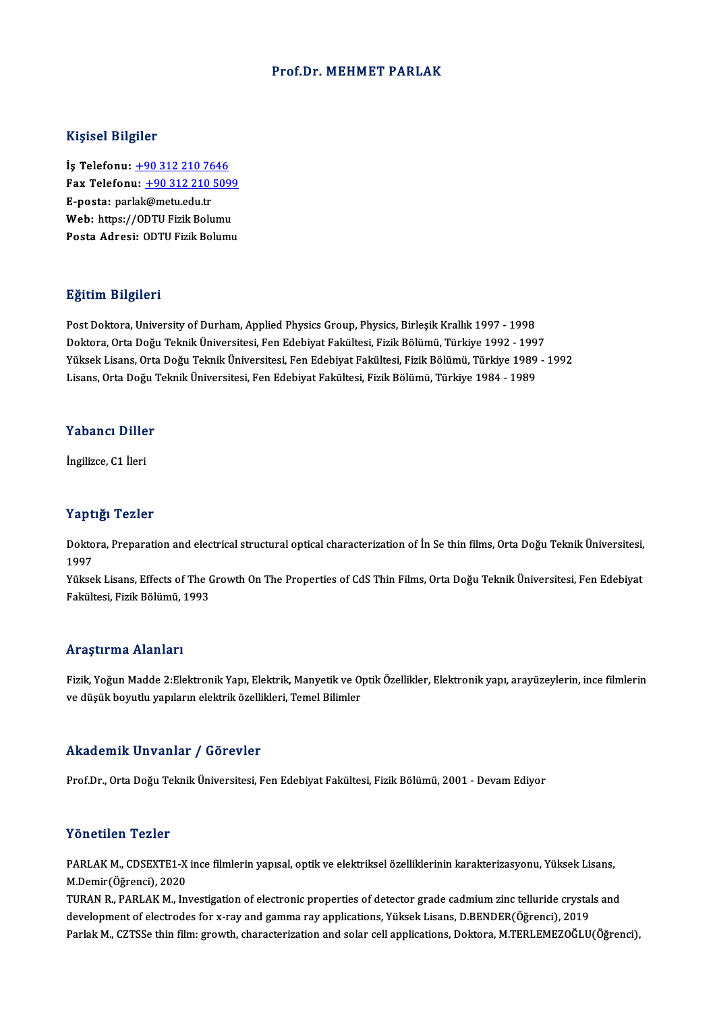### Prof.Dr. MEHMET PARLAK

### Kişisel Bilgiler

Kişisel Bilgiler<br>İş Telefonu: <u>+90 312 210 7646</u><br>Fax Telefonu: +90 212 210 509 1133001 2115101<br>İş Telefonu: <u>+90 312 210 7646</u><br>Fax Telefonu: <u>+90 312 210 5099</u> İş Telefonu: <u>+90 312 210 76</u><br>Fax Telefonu: <u>+90 312 210<br>E-posta: par[lak](tel:+90 312 210 7646)[@metu.edu.tr](tel:+90 312 210 5099)</u><br>Web: https://ODTU Eigik Poly Fax Telefonu: <u>+90 312 210 5099</u><br>E-posta: parlak@metu.edu.tr<br>Web: https://ODTU Fizik Bolumu<br>Posta Adrosi: ODTU Fizik Bolumu E-posta: parlak@metu.edu.tr<br>Web: https://ODTU Fizik Bolumu<br>Posta Adresi: ODTU Fizik Bolumu

### Eğitim Bilgileri

Post Doktora, University of Durham, Applied Physics Group, Physics, Birleşik Krallık 1997 - 1998 23.0000 2.03.0000<br>Post Doktora, University of Durham, Applied Physics Group, Physics, Birleşik Krallık 1997 - 1998<br>Doktora, Orta Doğu Teknik Üniversitesi, Fen Edebiyat Fakültesi, Fizik Bölümü, Türkiye 1992 - 1997<br>Vülgek Li Post Doktora, University of Durham, Applied Physics Group, Physics, Birleşik Krallık 1997 - 1998<br>Doktora, Orta Doğu Teknik Üniversitesi, Fen Edebiyat Fakültesi, Fizik Bölümü, Türkiye 1992 - 1997<br>Yüksek Lisans, Orta Doğu Te Doktora, Orta Doğu Teknik Üniversitesi, Fen Edebiyat Fakültesi, Fizik Bölümü, Türkiye 1992 - 199<br>Yüksek Lisans, Orta Doğu Teknik Üniversitesi, Fen Edebiyat Fakültesi, Fizik Bölümü, Türkiye 1989<br>Lisans, Orta Doğu Teknik Üni

# Lisans, orta Dogu<br>Yabancı Diller Y<mark>abancı Dille</mark><br>İngilizce, C1 İleri

# İngilizce, C1 İleri<br>Yaptığı Tezler

Yaptığı Tezler<br>Doktora, Preparation and electrical structural optical characterization of İn Se thin films, Orta Doğu Teknik Üniversitesi,<br>1997 1 ape<br>Dokto<br>1997<br><sup>Välse</sup> Doktora, Preparation and electrical structural optical characterization of İn Se thin films, Orta Doğu Teknik Üniversitesi,<br>1997<br>Yüksek Lisans, Effects of The Growth On The Properties of CdS Thin Films, Orta Doğu Teknik Ün

1997<br>Yüksek Lisans, Effects of The Growth On The Properties of CdS Thin Films, Orta Doğu Teknik Üniversitesi, Fen Edebiyat<br>Fakültesi, Fizik Bölümü, 1993

### Araştırma Alanları

Araştırma Alanları<br>Fizik, Yoğun Madde 2:Elektronik Yapı, Elektrik, Manyetik ve Optik Özellikler, Elektronik yapı, arayüzeylerin, ince filmlerin<br>ve düşük heyvtlu yapıların elektrik özellikleri, Temel Bilimler rri uyeri mu rriarriarı<br>Fizik, Yoğun Madde 2:Elektronik Yapı, Elektrik, Manyetik ve O<br>ve düşük boyutlu yapıların elektrik özellikleri, Temel Bilimler ve düşük boyutlu yapıların elektrik özellikleri, Temel Bilimler<br>Akademik Unvanlar / Görevler

Prof.Dr., Orta Doğu Teknik Üniversitesi, Fen Edebiyat Fakültesi, Fizik Bölümü, 2001 - Devam Ediyor

### Yönetilen Tezler

Yönetilen Tezler<br>PARLAK M., CDSEXTE1-X ince filmlerin yapısal, optik ve elektriksel özelliklerinin karakterizasyonu, Yüksek Lisans,<br>M.Demir(Öğrensi), 2020 TOROMICH TORICI<br>PARLAK M., CDSEXTE1-X<br>M.Demir(Öğrenci), 2020<br>TURAN B., BABLAK M., İn PARLAK M., CDSEXTE1-X ince filmlerin yapısal, optik ve elektriksel özelliklerinin karakterizasyonu, Yüksek Lisans,<br>M.Demir(Öğrenci), 2020<br>TURAN R., PARLAK M., Investigation of electronic properties of detector grade cadmiu

M.Demir(Öğrenci), 2020<br>TURAN R., PARLAK M., Investigation of electronic properties of detector grade cadmium zinc telluride crystal<br>development of electrodes for x-ray and gamma ray applications, Yüksek Lisans, D.BENDER(Öğ TURAN R., PARLAK M., Investigation of electronic properties of detector grade cadmium zinc telluride crystals and<br>development of electrodes for x-ray and gamma ray applications, Yüksek Lisans, D.BENDER(Öğrenci), 2019<br>Parla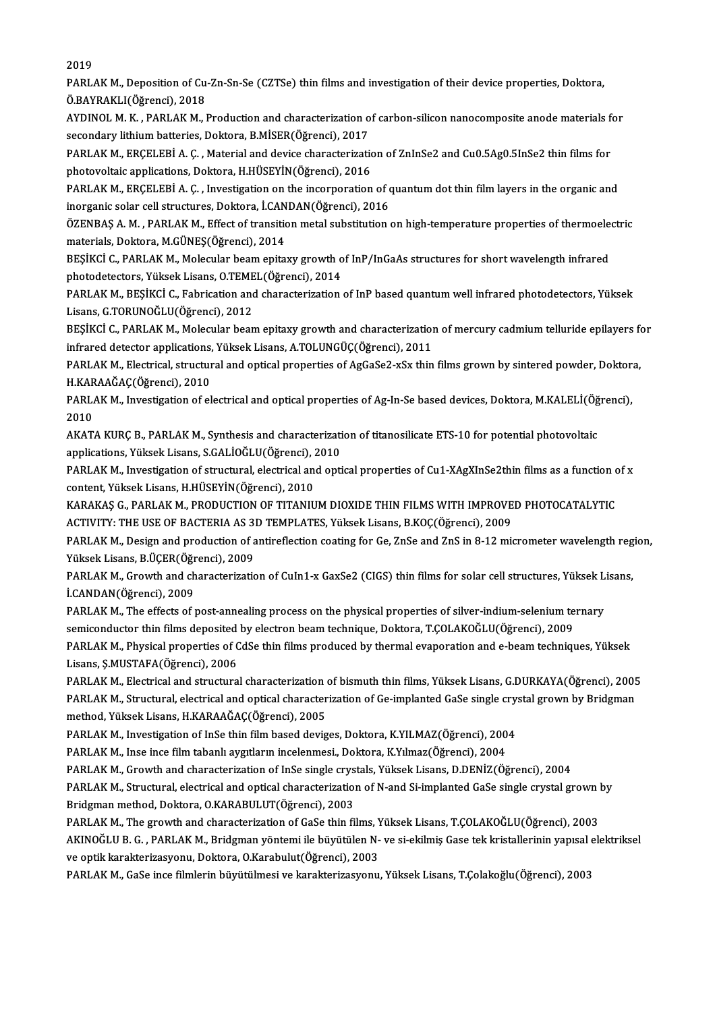2019

2019<br>PARLAK M., Deposition of Cu-Zn-Sn-Se (CZTSe) thin films and investigation of their device properties, Doktora,<br>Ö.RAVRAKLI(Öğmənsi), 2019 2019<br>PARLAK M., Deposition of Cu<br>Ö.BAYRAKLI(Öğrenci), 2018<br>AYDINOL M. K., PARLAK M. I PARLAK M., Deposition of Cu-Zn-Sn-Se (CZTSe) thin films and investigation of their device properties, Doktora,<br>Ö.BAYRAKLI(Öğrenci), 2018<br>AYDINOL M. K. , PARLAK M., Production and characterization of carbon-silicon nanocomp

Ö.BAYRAKLI(Öğrenci), 2018<br>AYDINOL M. K. , PARLAK M., Production and characterization o<br>secondary lithium batteries, Doktora, B.MİSER(Öğrenci), 2017<br>PARLAK M. ERCELERİ A.C., Material and devise characterizati AYDINOL M. K. , PARLAK M., Production and characterization of carbon-silicon nanocomposite anode materials for<br>secondary lithium batteries, Doktora, B.MİSER(Öğrenci), 2017<br>PARLAK M., ERÇELEBİ A. Ç. , Material and device ch

secondary lithium batteries, Doktora, B.MİSER(Öğrenci), 2017<br>PARLAK M., ERÇELEBİ A. Ç. , Material and device characterization of ZnInSe2 and Cu0.5Ag0.5InSe2 thin films for<br>photovoltaic applications, Doktora, H.HÜSEYİN(Öğre

PARLAK M., ERÇELEBİ A. Ç., Investigation on the incorporation of quantum dot thin film layers in the organic and photovoltaic applications, Doktora, H.HÜSEYİN(Öğrenci), 2016<br>PARLAK M., ERÇELEBİ A. Ç. , Investigation on the incorporation of c<br>inorganic solar cell structures, Doktora, İ.CANDAN(Öğrenci), 2016<br>ÖZENRAS A. M., PARLAK M., E PARLAK M., ERÇELEBİ A. Ç. , Investigation on the incorporation of quantum dot thin film layers in the organic and<br>inorganic solar cell structures, Doktora, İ.CANDAN(Öğrenci), 2016<br>ÖZENBAŞ A. M. , PARLAK M., Effect of trans

inorganic solar cell structures, Doktora, İ.CAN<br>ÖZENBAŞ A. M. , PARLAK M., Effect of transitic<br>materials, Doktora, M.GÜNEŞ(Öğrenci), 2014<br>PESİKÇİ G. PARLAK M. Mologular boam onital ÖZENBAŞ A. M. , PARLAK M., Effect of transition metal substitution on high-temperature properties of thermoele<br>materials, Doktora, M.GÜNEŞ(Öğrenci), 2014<br>BEŞİKCİ C., PARLAK M., Molecular beam epitaxy growth of InP/InGaAs s

materials, Doktora, M.GÜNEŞ(Öğrenci), 2014<br>BEŞİKCİ C., PARLAK M., Molecular beam epitaxy growth of InP/InGaAs structures for short wavelength infrared<br>photodetectors, Yüksek Lisans, O.TEMEL(Öğrenci), 2014 BEŞİKCİ C., PARLAK M., Molecular beam epitaxy growth of InP/InGaAs structures for short wavelength infrared<br>photodetectors, Yüksek Lisans, O.TEMEL(Öğrenci), 2014<br>PARLAK M., BEŞİKCİ C., Fabrication and characterization of I

photodetectors, Yüksek Lisans, O.TEME<br>PARLAK M., BEŞİKCİ C., Fabrication and<br>Lisans, G.TORUNOĞLU(Öğrenci), 2012<br>BESİKÇİ G. BABLAK M. Malamlar besn PARLAK M., BEŞİKCİ C., Fabrication and characterization of InP based quantum well infrared photodetectors, Yüksek<br>Lisans, G.TORUNOĞLU(Öğrenci), 2012<br>BEŞİKCİ C., PARLAK M., Molecular beam epitaxy growth and characterization

Lisans, G.TORUNOĞLU(Öğrenci), 2012<br>BEŞİKCİ C., PARLAK M., Molecular beam epitaxy growth and characterization of mercury cadmium telluride epilayers for<br>infrared detector applications, Yüksek Lisans, A.TOLUNGÜÇ(Öğrenci), 20 BEŞİKCİ C., PARLAK M., Molecular beam epitaxy growth and characterization of mercury cadmium telluride epilayers fo<br>infrared detector applications, Yüksek Lisans, A.TOLUNGÜÇ(Öğrenci), 2011<br>PARLAK M., Electrical, structural

infrared detector applications,<br>PARLAK M., Electrical, structur<br>H.KARAAĞAÇ(Öğrenci), 2010<br>PARLAK M. Investigation of al PARLAK M., Electrical, structural and optical properties of AgGaSe2-xSx thin films grown by sintered powder, Doktor<br>H.KARAAĞAÇ(Öğrenci), 2010<br>PARLAK M., Investigation of electrical and optical properties of Ag-In-Se based

H.KAR<br>PARL<br>2010<br>AKAT PARLAK M., Investigation of electrical and optical properties of Ag-In-Se based devices, Doktora, M.KALELİ(Öğ<br>2010<br>AKATA KURÇ B., PARLAK M., Synthesis and characterization of titanosilicate ETS-10 for potential photovoltai

2010<br>AKATA KURÇ B., PARLAK M., Synthesis and characterizati<br>applications, Yüksek Lisans, S.GALİOĞLU(Öğrenci), 2010<br>BARLAK M. Investisation of strustural, electrisal and enti AKATA KURÇ B., PARLAK M., Synthesis and characterization of titanosilicate ETS-10 for potential photovoltaic<br>applications, Yüksek Lisans, S.GALİOĞLU(Öğrenci), 2010<br>PARLAK M., Investigation of structural, electrical and opt

applications, Yüksek Lisans, S.GALİOĞLU(Öğrenci), 2010<br>PARLAK M., Investigation of structural, electrical ancontent, Yüksek Lisans, H.HÜSEYİN(Öğrenci), 2010<br>KARAKAS G. RARLAK M. RRODUCTION OF TITANIJI PARLAK M., Investigation of structural, electrical and optical properties of Cu1-XAgXInSe2thin films as a function of<br>content, Yüksek Lisans, H.HÜSEYİN(Öğrenci), 2010<br>KARAKAŞ G., PARLAK M., PRODUCTION OF TITANIUM DIOXIDE T

content, Yüksek Lisans, H.HÜSEYİN(Öğrenci), 2010<br>KARAKAŞ G., PARLAK M., PRODUCTION OF TITANIUM DIOXIDE THIN FILMS WITH IMPROVE<br>ACTIVITY: THE USE OF BACTERIA AS 3D TEMPLATES, Yüksek Lisans, B.KOÇ(Öğrenci), 2009<br>BARLAK M. De KARAKAŞ G., PARLAK M., PRODUCTION OF TITANIUM DIOXIDE THIN FILMS WITH IMPROVED PHOTOCATALYTIC<br>ACTIVITY: THE USE OF BACTERIA AS 3D TEMPLATES, Yüksek Lisans, B.KOÇ(Öğrenci), 2009<br>PARLAK M., Design and production of antirefle

ACTIVITY: THE USE OF BACTERIA AS 31<br>PARLAK M., Design and production of a<br>Yüksek Lisans, B.ÜÇER(Öğrenci), 2009<br>PARLAK M. Crouth and characterizatio

PARLAK M., Design and production of antireflection coating for Ge, ZnSe and ZnS in 8-12 micrometer wavelength region,<br>Yüksek Lisans, B.ÜÇER(Öğrenci), 2009<br>PARLAK M., Growth and characterization of CuIn1-x GaxSe2 (CIGS) thi Yüksek Lisans, B.ÜÇER(Öğr<br>PARLAK M., Growth and ch<br>İ.CANDAN(Öğrenci), 2009<br>PARLAK M. The effects of t PARLAK M., Growth and characterization of CuIn1-x GaxSe2 (CIGS) thin films for solar cell structures, Yüksek L<br>I.CANDAN(Öğrenci), 2009<br>PARLAK M., The effects of post-annealing process on the physical properties of silver-i

i.CANDAN(Öğrenci), 2009<br>PARLAK M., The effects of post-annealing process on the physical properties of silver-indium-selenium te<br>semiconductor thin films deposited by electron beam technique, Doktora, T.ÇOLAKOĞLU(Öğrenci), PARLAK M., The effects of post-annealing process on the physical properties of silver-indium-selenium ternary<br>semiconductor thin films deposited by electron beam technique, Doktora, T.ÇOLAKOĞLU(Öğrenci), 2009<br>PARLAK M., Ph

semiconductor thin films deposited by electron beam technique, Doktora, T.ÇOLAKOĞLU(Öğrenci), 2009<br>PARLAK M., Physical properties of CdSe thin films produced by thermal evaporation and e-beam techniques, Yüksek<br>Lisans, Ş.M PARLAK M., Physical properties of CdSe thin films produced by thermal evaporation and e-beam techniques, Yüksek<br>Lisans, Ş.MUSTAFA(Öğrenci), 2006<br>PARLAK M., Electrical and structural characterization of bismuth thin films,

Lisans, Ş.MUSTAFA(Öğrenci), 2006<br>PARLAK M., Electrical and structural characterization of bismuth thin films, Yüksek Lisans, G.DURKAYA(Öğrenci), 2005<br>PARLAK M., Structural, electrical and optical characterization of Ge-imp method,YüksekLisans,H.KARAAĞAÇ(Öğrenci),2005 PARLAK M., Structural, electrical and optical characterization of Ge-implanted GaSe single crystal grown by Bridgman<br>method, Yüksek Lisans, H.KARAAĞAÇ(Öğrenci), 2005<br>PARLAK M., Investigation of InSe thin film based deviges

PARLAK M., Investigation of InSe thin film based deviges, Doktora, K.YILMAZ(Öğrenci), 2004

PARLAK M., Investigation of InSe thin film based deviges, Doktora, K.YILMAZ(Öğrenci), 2004<br>PARLAK M., Inse ince film tabanlı aygıtların incelenmesi., Doktora, K.Yılmaz(Öğrenci), 2004<br>PARLAK M., Growth and characterization

PARLAK M., Inse ince film tabanlı aygıtların incelenmesi., Doktora, K.Yılmaz(Öğrenci), 2004<br>PARLAK M., Growth and characterization of InSe single crystals, Yüksek Lisans, D.DENİZ(Öğrenci), 2004<br>PARLAK M., Structural, elect PARLAK M., Growth and characterization of InSe single crys<br>PARLAK M., Structural, electrical and optical characterization<br>Bridgman method, Doktora, O.KARABULUT(Öğrenci), 2003<br>PARLAK M. The growth and characterization of Co PARLAK M., Structural, electrical and optical characterization of N-and Si-implanted GaSe single crystal grown<br>Bridgman method, Doktora, O.KARABULUT(Öğrenci), 2003<br>PARLAK M., The growth and characterization of GaSe thin fi

Bridgman method, Doktora, O.KARABULUT(Öğrenci), 2003<br>PARLAK M., The growth and characterization of GaSe thin films, Yüksek Lisans, T.ÇOLAKOĞLU(Öğrenci), 2003<br>AKINOĞLU B. G. , PARLAK M., Bridgman yöntemi ile büyütülen N- ve PARLAK M., The growth and characterization of GaSe thin films, Yüksek Lisans, T.ÇOLAKOĞLU(Öğrenci), 2003<br>AKINOĞLU B. G. , PARLAK M., Bridgman yöntemi ile büyütülen N- ve si-ekilmiş Gase tek kristallerinin yapısal el<br>ve opt AKINOĞLU B. G. , PARLAK M., Bridgman yöntemi ile büyütülen N- ve si-ekilmiş Gase tek kristallerinin yapısal e<br>ve optik karakterizasyonu, Doktora, O.Karabulut(Öğrenci), 2003<br>PARLAK M., GaSe ince filmlerin büyütülmesi ve kar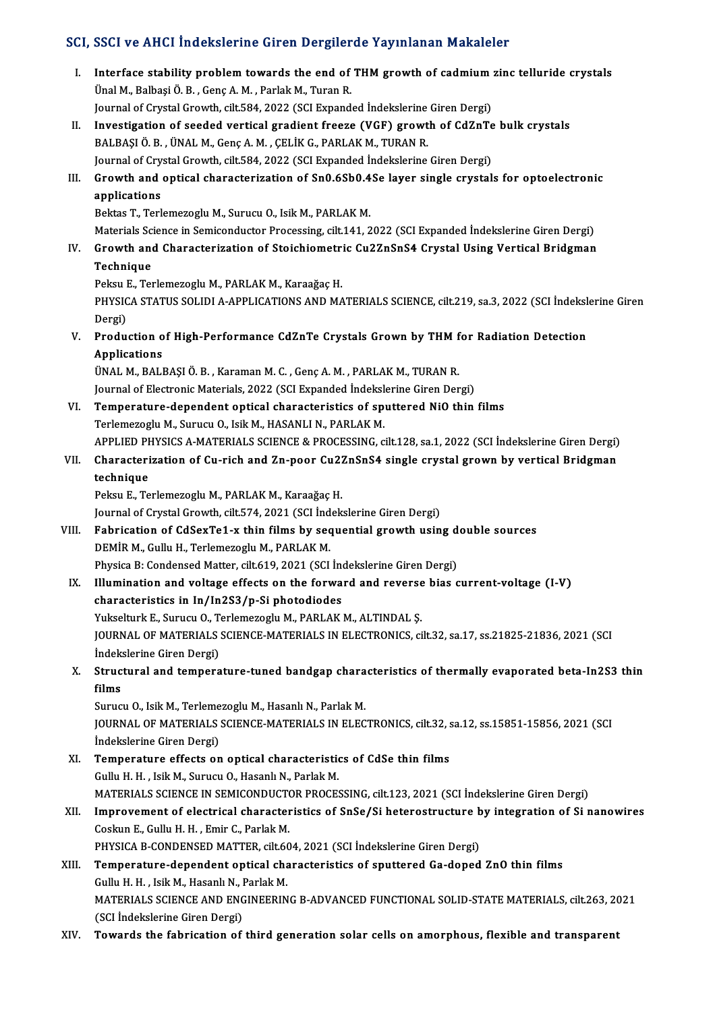### SCI, SSCI ve AHCI İndekslerine Giren Dergilerde Yayınlanan Makaleler

CI, SSCI ve AHCI Indekslerine Giren Dergilerde Yayınlanan Makaleler<br>I. Interface stability problem towards the end of THM growth of cadmium zinc telluride crystals<br>The M. Pelbesi Ö. B. Cone A.M. Perkk M. Turen P. Under the stability problem towards the end of<br>Unal M., Balbaşi Ö. B., Genç A. M., Parlak M., Turan R.<br>Journal of Gwetal Crouth, silt 594, 2022 (SCI Eunand Interface stability problem towards the end of THM growth of cadmium<br>Ünal M., Balbaşi Ö. B. , Genç A. M. , Parlak M., Turan R.<br>Journal of Crystal Growth, cilt.584, 2022 (SCI Expanded İndekslerine Giren Dergi)<br>Investigation Unal M., Balbaşi Ö. B. , Genç A. M. , Parlak M., Turan R.<br>Journal of Crystal Growth, cilt.584, 2022 (SCI Expanded Indekslerine Giren Dergi)<br>II. Investigation of seeded vertical gradient freeze (VGF) growth of CdZnTe bulk c Journal of Crystal Growth, cilt.584, 2022 (SCI Expanded İndekslerine<br>Investigation of seeded vertical gradient freeze (VGF) growt<br>BALBAŞI Ö. B. , ÜNAL M., Genç A. M. , ÇELİK G., PARLAK M., TURAN R.<br>Journal of Crystal Crowt Investigation of seeded vertical gradient freeze (VGF) growth of CdZnTe<br>BALBAŞI Ö. B. , ÜNAL M., Genç A. M. , ÇELİK G., PARLAK M., TURAN R.<br>Journal of Crystal Growth, cilt.584, 2022 (SCI Expanded İndekslerine Giren Dergi)<br> BALBAŞI Ö. B. , ÜNAL M., Genç A. M. , ÇELİK G., PARLAK M., TURAN R.<br>Journal of Crystal Growth, cilt.584, 2022 (SCI Expanded Indekslerine Giren Dergi)<br>III. Growth and optical characterization of Sn0.6Sb0.4Se layer single cr Journal of Crystal Growth, cilt.584, 2022 (SCI Expanded Indekslerine Giren Dergi) Bektas T., Terlemezoglu M., Surucu O., Isik M., PARLAK M. applications<br>Bektas T., Terlemezoglu M., Surucu O., Isik M., PARLAK M.<br>Materials Science in Semiconductor Processing, cilt.141, 2022 (SCI Expanded İndekslerine Giren Dergi)<br>Crewth and Characterization of Staisbiometris Gu2 IV. Growth and Characterization of Stoichiometric Cu2ZnSnS4 Crystal Using Vertical Bridgman Materials Sc<br>Growth and<br>Technique<br><sup>Rokeu E</sup> To **Growth and Characterization of Stoichiometr<br>Technique<br>Peksu E., Terlemezoglu M., PARLAK M., Karaağaç H.<br>PHYSICA STATUS SOLIDLA APPLICATIONS AND MA** Technique<br>Peksu E., Terlemezoglu M., PARLAK M., Karaağaç H.<br>PHYSICA STATUS SOLIDI A-APPLICATIONS AND MATERIALS SCIENCE, cilt.219, sa.3, 2022 (SCI İndekslerine Giren Peksu I<br>PHYSIC<br>Dergi)<br>Produ PHYSICA STATUS SOLIDI A-APPLICATIONS AND MATERIALS SCIENCE, cilt.219, sa.3, 2022 (SCI İndeksl<br>Dergi)<br>V. Production of High-Performance CdZnTe Crystals Grown by THM for Radiation Detection<br>Applications Dergi)<br><mark>Production o</mark><br>Applications<br><sup>TINAL M. PALI</sup> Production of High-Performance CdZnTe Crystals Grown by THM f<br>Applications<br>ÜNAL M., BALBAŞI Ö. B. , Karaman M. C. , Genç A. M. , PARLAK M., TURAN R.<br>Journal of Electronic Meterials, 2022 (SCL Ernanded İndekslerine Circa De Applications<br>ÜNAL M., BALBAŞI Ö. B. , Karaman M. C. , Genç A. M. , PARLAK M., TURAN R.<br>Journal of Electronic Materials, 2022 (SCI Expanded İndekslerine Giren Dergi)<br>Temperature dependent entisel eberesteristise ef enuttere ÜNAL M., BALBAŞI Ö. B. , Karaman M. C. , Genç A. M. , PARLAK M., TURAN R.<br>Journal of Electronic Materials, 2022 (SCI Expanded Indekslerine Giren Dergi)<br>VI. Temperature-dependent optical characteristics of sputtered NiO thi Journal of Electronic Materials, 2022 (SCI Expanded Indeksl<br>**Temperature-dependent optical characteristics of sp**<br>Terlemezoglu M., Surucu O., Isik M., HASANLI N., PARLAK M.<br>APRLIED PUYSICS A MATERIALS SCIENCE & PROCESSINC Temperature-dependent optical characteristics of sputtered NiO thin films<br>Terlemezoglu M., Surucu O., Isik M., HASANLI N., PARLAK M.<br>APPLIED PHYSICS A-MATERIALS SCIENCE & PROCESSING, cilt.128, sa.1, 2022 (SCI İndekslerine Terlemezoglu M., Surucu O., Isik M., HASANLI N., PARLAK M.<br>APPLIED PHYSICS A-MATERIALS SCIENCE & PROCESSING, cilt.128, sa.1, 2022 (SCI İndekslerine Giren Dergi)<br>VII. Characterization of Cu-rich and Zn-poor Cu2ZnSnS4 single **APPLIED PH<br>Characteri<br>technique<br>Pelru E. Te** Characterization of Cu-rich and Zn-poor Cu27<br>technique<br>Peksu E., Terlemezoglu M., PARLAK M., Karaağaç H.<br>Journal of Crustal Crouth, silt 574, 2021 (SCL Indek technique<br>Peksu E., Terlemezoglu M., PARLAK M., Karaağaç H.<br>Journal of Crystal Growth, cilt.574, 2021 (SCI İndekslerine Giren Dergi) VIII. Fabrication of CdSexTe1-x thin films by sequential growth using double sources DEMİRM., Gullu H., Terlemezoglu M., PARLAKM. Physica B: Condensed Matter, cilt.619, 2021 (SCI İndekslerine Giren Dergi) DEMIR M., Gullu H., Terlemezoglu M., PARLAK M.<br>Physica B: Condensed Matter, cilt.619, 2021 (SCI Indekslerine Giren Dergi)<br>IX. Illumination and voltage effects on the forward and reverse bias current-voltage (I-V)<br>character Physica B: Condensed Matter, cilt.619, 2021 (SCI Incornect Indian and voltage effects on the forward<br>characteristics in In/In2S3/p-Si photodiodes<br>Yukselturk E. Surucu O. Terlemeracu M. PABLAK Illumination and voltage effects on the forward and reverse<br>characteristics in In/In2S3/p-Si photodiodes<br>Yukselturk E., Surucu O., Terlemezoglu M., PARLAK M., ALTINDAL Ș.<br>JOUPNAL OE MATERIALS SCIENCE MATERIALS IN ELECTRONI characteristics in In/In2S3/p-Si photodiodes<br>Yukselturk E., Surucu O., Terlemezoglu M., PARLAK M., ALTINDAL Ş.<br>JOURNAL OF MATERIALS SCIENCE-MATERIALS IN ELECTRONICS, cilt.32, sa.17, ss.21825-21836, 2021 (SCI Yukselturk E., Surucu O., Terlemezoglu M., PARLAK M., ALTINDAL Ş. X. Structural and temperature-tuned bandgap characteristics of thermally evaporated beta-In2S3 thin films İndekslerine Giren Dergi) Surucu O., Isik M., Terlemezoglu M., Hasanlı N., Parlak M. films<br>Surucu O., Isik M., Terlemezoglu M., Hasanlı N., Parlak M.<br>JOURNAL OF MATERIALS SCIENCE-MATERIALS IN ELECTRONICS, cilt.32, sa.12, ss.15851-15856, 2021 (SCI Surucu O., Isik M., Terleme<br>JOURNAL OF MATERIALS<br>İndekslerine Giren Dergi)<br>Temperature effects en JOURNAL OF MATERIALS SCIENCE-MATERIALS IN ELECTRONICS, cilt.32, s<br>
indekslerine Giren Dergi)<br>
XI. Temperature effects on optical characteristics of CdSe thin films<br>
Cully H. H. Jeil: M. Sumay O. Hossel: M. Borlek M. Indekslerine Giren Dergi)<br>XI. Temperature effects on optical characteristics of CdSe thin films<br>Gullu H. H. , Isik M., Surucu O., Hasanlı N., Parlak M. Temperature effects on optical characteristics of CdSe thin films<br>Gullu H. H. , Isik M., Surucu O., Hasanlı N., Parlak M.<br>MATERIALS SCIENCE IN SEMICONDUCTOR PROCESSING, cilt.123, 2021 (SCI İndekslerine Giren Dergi)<br>Improve XII. Improvement of electrical characteristics of SnSe/Si heterostructure by integration of Si nanowires Coskun E., Gullu H. H., Emir C., Parlak M. MATERIALS SCIENCE IN SEMICONDUCTO<br>Improvement of electrical character<br>Coskun E., Gullu H. H. , Emir C., Parlak M.<br>PHYSICA P. CONDENSED MATTER, silt 60 Improvement of electrical characteristics of SnSe/Si heterostructure b<br>Coskun E., Gullu H. H. , Emir C., Parlak M.<br>PHYSICA B-CONDENSED MATTER, cilt.604, 2021 (SCI İndekslerine Giren Dergi)<br>Temperature dependent enticel cha XIII. Temperature-dependent optical characteristics of sputtered Ga-doped ZnO thin films<br>Gullu H. H., Isik M., Hasanlı N., Parlak M. PHYSICA B-CONDENSED MATTER, cilt.60<br>Temperature-dependent optical cha<br>Gullu H. H. , Isik M., Hasanlı N., Parlak M.<br>MATERIALS SCIENCE AND ENCINEERIN Temperature-dependent optical characteristics of sputtered Ga-doped ZnO thin films<br>Gullu H. H. , Isik M., Hasanlı N., Parlak M.<br>MATERIALS SCIENCE AND ENGINEERING B-ADVANCED FUNCTIONAL SOLID-STATE MATERIALS, cilt.263, 2021<br>

Gullu H. H. , Isik M., Hasanlı N., I<br>MATERIALS SCIENCE AND ENC<br>(SCI İndekslerine Giren Dergi)<br>Towards the fabrisation of MATERIALS SCIENCE AND ENGINEERING B-ADVANCED FUNCTIONAL SOLID-STATE MATERIALS, cilt.263, 20<br>(SCI İndekslerine Giren Dergi)<br>XIV. Towards the fabrication of third generation solar cells on amorphous, flexible and transpa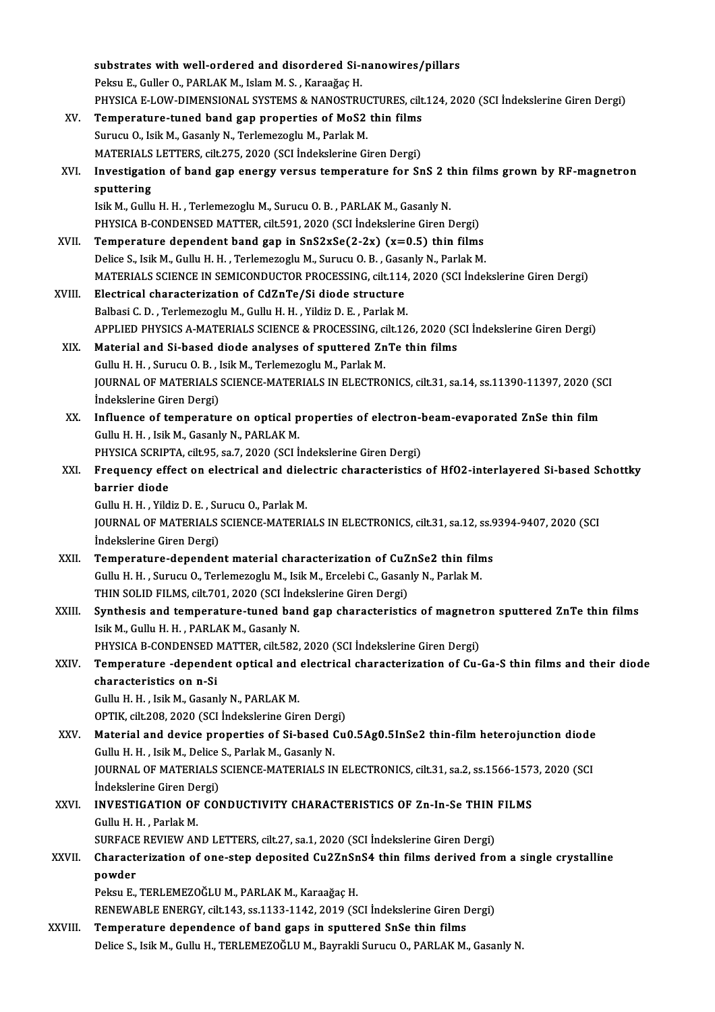|              | substrates with well-ordered and disordered Si-nanowires/pillars                                     |
|--------------|------------------------------------------------------------------------------------------------------|
|              | Peksu E., Guller O., PARLAK M., Islam M. S., Karaağaç H.                                             |
|              | PHYSICA E-LOW-DIMENSIONAL SYSTEMS & NANOSTRUCTURES, cilt.124, 2020 (SCI İndekslerine Giren Dergi)    |
| XV.          | Temperature-tuned band gap properties of MoS2 thin films                                             |
|              | Surucu O., Isik M., Gasanly N., Terlemezoglu M., Parlak M.                                           |
|              | MATERIALS LETTERS, cilt.275, 2020 (SCI Indekslerine Giren Dergi)                                     |
| XVI.         | Investigation of band gap energy versus temperature for SnS 2 thin films grown by RF-magnetron       |
|              | sputtering                                                                                           |
|              | Isik M., Gullu H. H., Terlemezoglu M., Surucu O. B., PARLAK M., Gasanly N.                           |
|              | PHYSICA B-CONDENSED MATTER, cilt 591, 2020 (SCI İndekslerine Giren Dergi)                            |
| XVII.        | Temperature dependent band gap in $SnS2xSe(2-2x)$ (x=0.5) thin films                                 |
|              | Delice S., Isik M., Gullu H. H., Terlemezoglu M., Surucu O. B., Gasanly N., Parlak M.                |
|              | MATERIALS SCIENCE IN SEMICONDUCTOR PROCESSING, cilt.114, 2020 (SCI İndekslerine Giren Dergi)         |
| XVIII.       | Electrical characterization of CdZnTe/Si diode structure                                             |
|              | Balbasi C. D., Terlemezoglu M., Gullu H. H., Yildiz D. E., Parlak M.                                 |
|              | APPLIED PHYSICS A-MATERIALS SCIENCE & PROCESSING, cilt.126, 2020 (SCI İndekslerine Giren Dergi)      |
| XIX.         | Material and Si-based diode analyses of sputtered ZnTe thin films                                    |
|              | Gullu H. H., Surucu O. B., Isik M., Terlemezoglu M., Parlak M.                                       |
|              | JOURNAL OF MATERIALS SCIENCE-MATERIALS IN ELECTRONICS, cilt.31, sa.14, ss.11390-11397, 2020 (SCI     |
|              | İndekslerine Giren Dergi)                                                                            |
| XX.          | Influence of temperature on optical properties of electron-beam-evaporated ZnSe thin film            |
|              | Gullu H. H., Isik M., Gasanly N., PARLAK M.                                                          |
|              | PHYSICA SCRIPTA, cilt.95, sa.7, 2020 (SCI Indekslerine Giren Dergi)                                  |
| XXI.         | Frequency effect on electrical and dielectric characteristics of HfO2-interlayered Si-based Schottky |
|              | barrier diode                                                                                        |
|              | Gullu H. H., Yildiz D. E., Surucu O., Parlak M.                                                      |
|              | JOURNAL OF MATERIALS SCIENCE-MATERIALS IN ELECTRONICS, cilt.31, sa.12, ss.9394-9407, 2020 (SCI       |
|              | Indekslerine Giren Dergi)                                                                            |
| XXII.        | Temperature-dependent material characterization of CuZnSe2 thin films                                |
|              | Gullu H. H., Surucu O., Terlemezoglu M., Isik M., Ercelebi C., Gasanly N., Parlak M.                 |
|              | THIN SOLID FILMS, cilt.701, 2020 (SCI İndekslerine Giren Dergi)                                      |
| XXIII.       | Synthesis and temperature-tuned band gap characteristics of magnetron sputtered ZnTe thin films      |
|              | Isik M., Gullu H. H., PARLAK M., Gasanly N.                                                          |
|              | PHYSICA B-CONDENSED MATTER, cilt.582, 2020 (SCI İndekslerine Giren Dergi)                            |
| XXIV.        | Temperature -dependent optical and electrical characterization of Cu-Ga-S thin films and their diode |
|              | characteristics on n-Si                                                                              |
|              | Gullu H. H., Isik M., Gasanly N., PARLAK M.                                                          |
|              | OPTIK, cilt.208, 2020 (SCI İndekslerine Giren Dergi)                                                 |
| XXV.         | Material and device properties of Si-based Cu0.5Ag0.5InSe2 thin-film heterojunction diode            |
|              | Gullu H. H., Isik M., Delice S., Parlak M., Gasanly N.                                               |
|              | JOURNAL OF MATERIALS SCIENCE-MATERIALS IN ELECTRONICS, cilt.31, sa.2, ss.1566-1573, 2020 (SCI        |
|              | İndekslerine Giren Dergi)                                                                            |
| XXVI.        | INVESTIGATION OF CONDUCTIVITY CHARACTERISTICS OF Zn-In-Se THIN FILMS                                 |
|              | Gullu H. H., Parlak M.                                                                               |
|              | SURFACE REVIEW AND LETTERS, cilt.27, sa.1, 2020 (SCI Indekslerine Giren Dergi)                       |
| <b>XXVII</b> | Characterization of one-step deposited Cu2ZnSnS4 thin films derived from a single crystalline        |
|              | powder                                                                                               |
|              | Peksu E., TERLEMEZOĞLU M., PARLAK M., Karaağaç H.                                                    |
|              | RENEWABLE ENERGY, cilt.143, ss.1133-1142, 2019 (SCI Indekslerine Giren Dergi)                        |
| XXVIII.      | Temperature dependence of band gaps in sputtered SnSe thin films                                     |
|              | Delice S., Isik M., Gullu H., TERLEMEZOĞLU M., Bayrakli Surucu O., PARLAK M., Gasanly N.             |
|              |                                                                                                      |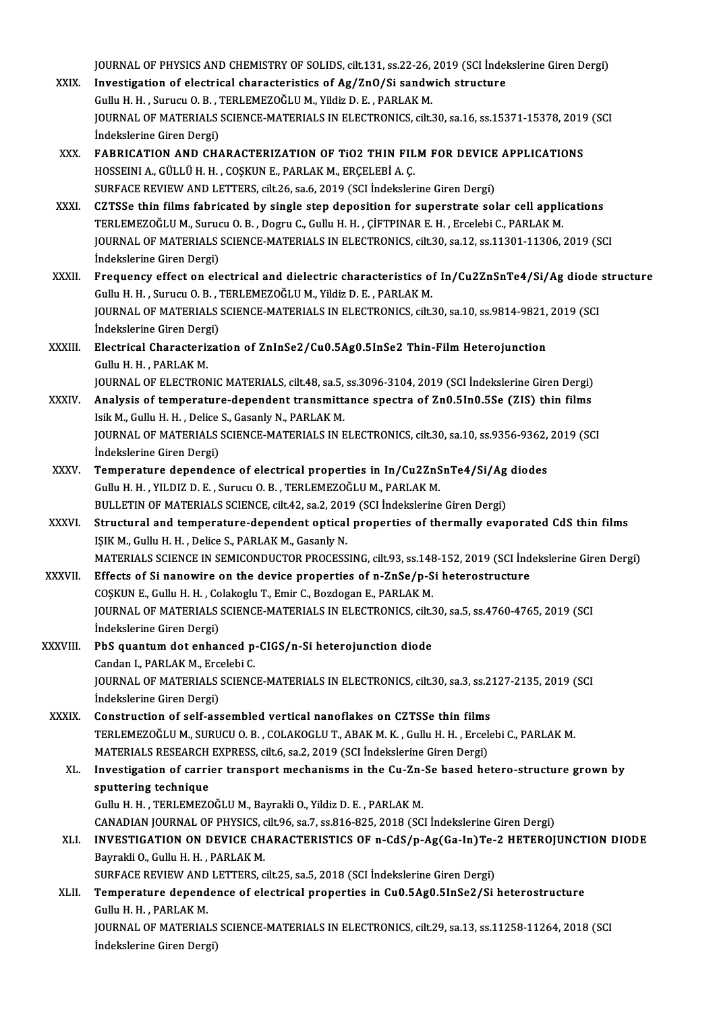JOURNAL OF PHYSICS AND CHEMISTRY OF SOLIDS, cilt.131, ss.22-26, 2019 (SCI İndekslerine Giren Dergi)<br>Investigation of electrical characteristics of Ag/7n0/Si sandwich strugture

- JOURNAL OF PHYSICS AND CHEMISTRY OF SOLIDS, cilt.131, ss.22-26, 2019 (SCI Indel<br>XXIX. Investigation of electrical characteristics of Ag/ZnO/Si sandwich structure JOURNAL OF PHYSICS AND CHEMISTRY OF SOLIDS, cilt.131, ss.22-26,<br>Investigation of electrical characteristics of Ag/ZnO/Si sandw<br>Gullu H. H. , Surucu O. B. , TERLEMEZOĞLU M., Yildiz D. E. , PARLAK M.<br>JOURNAL OF MATERIALS SCI Investigation of electrical characteristics of Ag/ZnO/Si sandwich structure<br>Gullu H. H., Surucu O. B., TERLEMEZOĞLU M., Yildiz D. E., PARLAK M.<br>JOURNAL OF MATERIALS SCIENCE-MATERIALS IN ELECTRONICS, cilt.30, sa.16, ss.1537 Gullu H. H., Surucu O. B., TERLEMEZOĞLU M., Yildiz D. E., PARLAK M. JOURNAL OF MATERIALS SCIENCE-MATERIALS IN ELECTRONICS, cilt.30, sa.16, ss.15371-15378, 2019<br>indekslerine Giren Dergi)<br>XXX. FABRICATION AND CHARACTERIZATION OF TiO2 THIN FILM FOR DEVICE APPLICATIONS<br>HOSSEINI A CÜLLÜ H H COS
- İndekslerine Giren Dergi)<br>FABRICATION AND CHARACTERIZATION OF TiO2 THIN FIL<br>HOSSEINI A., GÜLLÜ H. H. , COŞKUN E., PARLAK M., ERÇELEBİ A. Ç.<br>SUREACE REVIEW AND LETTERS. silt 26.53.6.2019 (SCLİndeksler FABRICATION AND CHARACTERIZATION OF TIO2 THIN FILM FOR DEVICE<br>HOSSEINI A., GÜLLÜ H. H. , COŞKUN E., PARLAK M., ERÇELEBİ A. Ç.<br>SURFACE REVIEW AND LETTERS, cilt.26, sa.6, 2019 (SCI İndekslerine Giren Dergi)<br>CZTSSe thin filme HOSSEINI A., GÜLLÜ H. H. , COȘKUN E., PARLAK M., ERÇELEBİ A. Ç.<br>SURFACE REVIEW AND LETTERS, cilt.26, sa.6, 2019 (SCI İndekslerine Giren Dergi)<br>XXXI. CZTSSe thin films fabricated by single step deposition for superstrat
- SURFACE REVIEW AND LETTERS, cilt.26, sa.6, 2019 (SCI İndekslerine Giren Dergi)<br>CZTSSe thin films fabricated by single step deposition for superstrate solar cell appli<br>TERLEMEZOĞLU M., Surucu O. B. , Dogru C., Gullu H. H. , JOURNAL OF MATERIALS SCIENCE-MATERIALS IN ELECTRONICS, cilt.30, sa.12, ss.11301-11306, 2019 (SCI Indekslerine Giren Dergi) TERLEMEZOĞLU M., Suruc<br>JOURNAL OF MATERIALS<br>İndekslerine Giren Dergi)<br>Frequenav offect on ola JOURNAL OF MATERIALS SCIENCE-MATERIALS IN ELECTRONICS, cilt.30, sa.12, ss.11301-11306, 2019 (SCI<br>Indekslerine Giren Dergi)<br>XXXII. Frequency effect on electrical and dielectric characteristics of In/Cu2ZnSnTe4/Si/Ag diode s
- İndekslerine Giren Dergi)<br>Frequency effect on electrical and dielectric characteristics of<br>Gullu H. H. , Surucu O. B. , TERLEMEZOĞLU M., Yildiz D. E. , PARLAK M.<br>JOURNAL OF MATERIALS SCIENCE MATERIALS IN ELECTRONICS silt Frequency effect on electrical and dielectric characteristics of In/Cu2ZnSnTe4/Si/Ag diode<br>Gullu H. H. , Surucu O. B. , TERLEMEZOĞLU M., Yildiz D. E. , PARLAK M.<br>JOURNAL OF MATERIALS SCIENCE-MATERIALS IN ELECTRONICS, cilt. Gullu H. H. , Surucu O. B. , TERLEMEZOĞLU M., Yildiz D. E. , PARLAK M.<br>JOURNAL OF MATERIALS SCIENCE-MATERIALS IN ELECTRONICS, cilt.30, sa.10, ss.9814-9821, 2019 (SCI<br>İndekslerine Giren Dergi) JOURNAL OF MATERIALS SCIENCE-MATERIALS IN ELECTRONICS, cilt.30, sa.10, ss.9814-9821,<br>indekslerine Giren Dergi)<br>XXXIII. Electrical Characterization of ZnInSe2/Cu0.5Ag0.5InSe2 Thin-Film Heterojunction
- İndekslerine Giren Derg<br>Electrical Characteriz<br>Gullu H. H. , PARLAK M.<br>JOUPNAL OF ELECTRON Gullu H. H. , PARLAK M.<br>JOURNAL OF ELECTRONIC MATERIALS, cilt.48, sa.5, ss.3096-3104, 2019 (SCI İndekslerine Giren Dergi)

- Gullu H. H. , PARLAK M.<br>JOURNAL OF ELECTRONIC MATERIALS, cilt.48, sa.5, ss.3096-3104, 2019 (SCI Indekslerine Giren Dergi)<br>XXXIV. Analysis of temperature-dependent transmittance spectra of Zn0.5In0.5Se (ZIS) thin films<br>Leik JOURNAL OF ELECTRONIC MATERIALS, cilt.48, sa.5,<br>Analysis of temperature-dependent transmitt:<br>Isik M., Gullu H. H. , Delice S., Gasanly N., PARLAK M.<br>IOURNAL OF MATERIALS SCIENCE MATERIALS IN E Analysis of temperature-dependent transmittance spectra of Zn0.5In0.5Se (ZIS) thin films<br>Isik M., Gullu H. H. , Delice S., Gasanly N., PARLAK M.<br>JOURNAL OF MATERIALS SCIENCE-MATERIALS IN ELECTRONICS, cilt.30, sa.10, ss.935 Isik M., Gullu H. H. , Delice S., Gasanly N., PARLAK M.<br>JOURNAL OF MATERIALS SCIENCE-MATERIALS IN ELECTRONICS, cilt.30, sa.10, ss.9356-9362, 2019 (SCI<br>İndekslerine Giren Dergi) JOURNAL OF MATERIALS SCIENCE-MATERIALS IN ELECTRONICS, cilt.30, sa.10, ss.9356-9362,<br>indekslerine Giren Dergi)<br>XXXV. Temperature dependence of electrical properties in In/Cu2ZnSnTe4/Si/Ag diodes
- İndekslerine Giren Dergi)<br>Temperature dependence of electrical properties in In/Cu2ZnS<br>Gullu H. H. , YILDIZ D. E. , Surucu O. B. , TERLEMEZOĞLU M., PARLAK M.<br>PULLETIN OF MATERIALS SCIENCE silt 42.82.2.2019 (SCL Indekslerin Temperature dependence of electrical properties in In/Cu2ZnSnTe4/Si/Ag<br>Gullu H. H. , YILDIZ D. E. , Surucu O. B. , TERLEMEZOĞLU M., PARLAK M.<br>BULLETIN OF MATERIALS SCIENCE, cilt.42, sa.2, 2019 (SCI İndekslerine Giren Dergi
- Gullu H. H. , YILDIZ D. E. , Surucu O. B. , TERLEMEZOĞLU M., PARLAK M.<br>BULLETIN OF MATERIALS SCIENCE, cilt.42, sa.2, 2019 (SCI İndekslerine Giren Dergi)<br>XXXVI. Structural and temperature-dependent optical properties of the BULLETIN OF MATERIALS SCIENCE, cilt.42, sa.2, 201<br>Structural and temperature-dependent optical<br>IŞIK M., Gullu H. H. , Delice S., PARLAK M., Gasanly N.<br>MATERIALS SCIENCE IN SEMICONDUCTOR PROCESS Structural and temperature-dependent optical properties of thermally evaporated CdS thin films<br>IŞIK M., Gullu H. H. , Delice S., PARLAK M., Gasanly N.<br>MATERIALS SCIENCE IN SEMICONDUCTOR PROCESSING, cilt.93, ss.148-152, 201 IŞIK M., Gullu H. H. , Delice S., PARLAK M., Gasanly N.<br>MATERIALS SCIENCE IN SEMICONDUCTOR PROCESSING, cilt.93, ss.148-152, 2019 (SCI İnd<br>XXXVII. Effects of Si nanowire on the device properties of n-ZnSe/p-Si heterostructu
- MATERIALS SCIENCE IN SEMICONDUCTOR PROCESSING, cilt.93, ss.148<br>Effects of Si nanowire on the device properties of n-ZnSe/p-S<br>COSKUN E., Gullu H. H. , Colakoglu T., Emir C., Bozdogan E., PARLAK M.<br>JOURNAL OF MATERIALS SCIEN Effects of Si nanowire on the device properties of n-ZnSe/p-Si heterostructure<br>COŞKUN E., Gullu H. H. , Colakoglu T., Emir C., Bozdogan E., PARLAK M.<br>JOURNAL OF MATERIALS SCIENCE-MATERIALS IN ELECTRONICS, cilt.30, sa.5, ss COȘKUN E., Gullu H. H. , Co<br>JOURNAL OF MATERIALS<br>İndekslerine Giren Dergi)<br>PhS suantum dat anhai JOURNAL OF MATERIALS SCIENCE-MATERIALS IN ELECTRONICS, cilt.<br>
indekslerine Giren Dergi)<br>
XXXVIII. PbS quantum dot enhanced p-CIGS/n-Si heterojunction diode<br>
Candan J, BABLAK M, Excelsbi C Indekslerine Giren Dergi)<br>PbS quantum dot enhanced p-CIGS/n-Si heterojunction diode
- JOURNAL OF MATERIALS SCIENCE-MATERIALS IN ELECTRONICS, cilt.30, sa.3, ss.2127-2135, 2019 (SCI Indekslerine Giren Dergi) Candan I., PARLAK M., Ercelebi C. JOURNAL OF MATERIALS SCIENCE-MATERIALS IN ELECTRONICS, cilt.30, sa.3, ss.2<br>
indekslerine Giren Dergi)<br>
XXXIX. Construction of self-assembled vertical nanoflakes on CZTSSe thin films<br>
TEDI EMEZOČLIJM, SUBUCLO B, COLAKOCLUT,
- TERLEMEZOĞLU M., SURUCU O. B. , COLAKOGLU T., ABAK M. K. , Gullu H. H. , Ercelebi C., PARLAK M.<br>MATERIALS RESEARCH EXPRESS, cilt.6, sa.2, 2019 (SCI İndekslerine Giren Dergi) Construction of self-assembled vertical nanoflakes on CZTSSe thin films<br>TERLEMEZOĞLU M., SURUCU O.B. , COLAKOGLU T., ABAK M. K. , Gullu H. H. , Ercel<br>MATERIALS RESEARCH EXPRESS, cilt.6, sa.2, 2019 (SCI İndekslerine Giren D TERLEMEZOĞLU M., SURUCU O. B. , COLAKOGLU T., ABAK M. K. , Gullu H. H. , Ercelebi C., PARLAK M.<br>MATERIALS RESEARCH EXPRESS, cilt.6, sa.2, 2019 (SCI İndekslerine Giren Dergi)<br>XL. Investigation of carrier transport mechanism

MATERIALS RESEARCH<br>Investigation of carri<br>sputtering technique<br>Cully H H TERLEMEZO Investigation of carrier transport mechanisms in the Cu-Zn-<br>sputtering technique<br>Gullu H. H. , TERLEMEZOĞLU M., Bayrakli O., Yildiz D. E. , PARLAK M.<br>CANADIAN JOURNAL OF PHYSICS silt 06, 83.7, 88.916, 925, 2019 (SC sputtering technique<br>Gullu H. H. , TERLEMEZOĞLU M., Bayrakli O., Yildiz D. E. , PARLAK M.<br>CANADIAN JOURNAL OF PHYSICS, cilt.96, sa.7, ss.816-825, 2018 (SCI İndekslerine Giren Dergi)<br>INVESTIC ATION ON DEVICE CHARACTERISTICS

- Gullu H. H. , TERLEMEZOĞLU M., Bayrakli O., Yildiz D. E. , PARLAK M.<br>CANADIAN JOURNAL OF PHYSICS, cilt.96, sa.7, ss.816-825, 2018 (SCI İndekslerine Giren Dergi)<br>XLI. INVESTIGATION ON DEVICE CHARACTERISTICS OF n-CdS/p-Ag(Ga CANADIAN JOURNAL OF PHYSICS, c<br>INVESTIGATION ON DEVICE CH<br>Bayrakli O., Gullu H. H. , PARLAK M.<br>SUREACE REVIEW AND LETTERS INVESTIGATION ON DEVICE CHARACTERISTICS OF n-CdS/p-Ag(Ga-In)Te-<br>Bayrakli O., Gullu H. H. , PARLAK M.<br>SURFACE REVIEW AND LETTERS, cilt.25, sa.5, 2018 (SCI İndekslerine Giren Dergi)<br>Temperature dependence of electrical prepa
- XLII. Temperature dependence of electrical properties in Cu0.5Ag0.5InSe2/Si heterostructure<br>Gullu H. H., PARLAK M. SURFACE REVIEW AND<br>Temperature depend<br>Gullu H. H. , PARLAK M.<br>JOUPNAL OF MATERIAL Temperature dependence of electrical properties in Cu0.5Ag0.5InSe2/Si heterostructure<br>Gullu H. H. , PARLAK M.<br>JOURNAL OF MATERIALS SCIENCE-MATERIALS IN ELECTRONICS, cilt.29, sa.13, ss.11258-11264, 2018 (SCI Gullu H. H. , PARLAK M.<br>JOURNAL OF MATERIALS<br>İndekslerine Giren Dergi)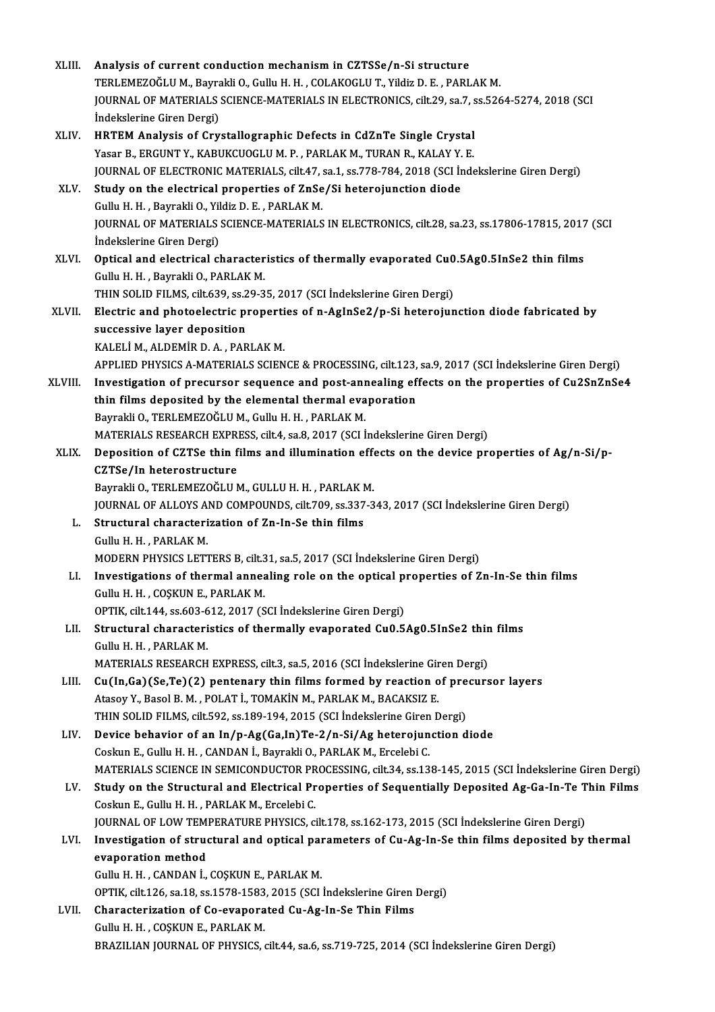| XLIII.       | Analysis of current conduction mechanism in CZTSSe/n-Si structure                                       |
|--------------|---------------------------------------------------------------------------------------------------------|
|              | TERLEMEZOĞLU M., Bayrakli O., Gullu H. H., COLAKOGLU T., Yildiz D. E., PARLAK M.                        |
|              | JOURNAL OF MATERIALS SCIENCE-MATERIALS IN ELECTRONICS, cilt.29, sa.7, ss.5264-5274, 2018 (SCI           |
|              | Indekslerine Giren Dergi)                                                                               |
| XLIV.        | HRTEM Analysis of Crystallographic Defects in CdZnTe Single Crystal                                     |
|              | Yasar B., ERGUNT Y., KABUKCUOGLU M. P., PARLAK M., TURAN R., KALAY Y. E.                                |
|              | JOURNAL OF ELECTRONIC MATERIALS, cilt.47, sa.1, ss.778-784, 2018 (SCI Indekslerine Giren Dergi)         |
| XLV.         | Study on the electrical properties of ZnSe/Si heterojunction diode                                      |
|              | Gullu H. H., Bayrakli O., Yildiz D. E., PARLAK M.                                                       |
|              | JOURNAL OF MATERIALS SCIENCE-MATERIALS IN ELECTRONICS, cilt.28, sa.23, ss.17806-17815, 2017 (SCI        |
|              | İndekslerine Giren Dergi)                                                                               |
| <b>XLVI</b>  | Optical and electrical characteristics of thermally evaporated Cu0.5Ag0.5InSe2 thin films               |
|              | Gullu H. H., Bayrakli O., PARLAK M.                                                                     |
|              | THIN SOLID FILMS, cilt.639, ss.29-35, 2017 (SCI Indekslerine Giren Dergi)                               |
| <b>XLVII</b> | Electric and photoelectric properties of n-AgInSe2/p-Si heterojunction diode fabricated by              |
|              | successive layer deposition                                                                             |
|              | KALELİ M., ALDEMİR D. A., PARLAK M.                                                                     |
|              | APPLIED PHYSICS A-MATERIALS SCIENCE & PROCESSING, cilt.123, sa.9, 2017 (SCI Indekslerine Giren Dergi)   |
| XLVIII.      | Investigation of precursor sequence and post-annealing effects on the properties of Cu2SnZnSe4          |
|              | thin films deposited by the elemental thermal evaporation                                               |
|              | Bayrakli O., TERLEMEZOĞLU M., Gullu H. H., PARLAK M.                                                    |
|              | MATERIALS RESEARCH EXPRESS, cilt.4, sa.8, 2017 (SCI İndekslerine Giren Dergi)                           |
| XLIX.        | Deposition of CZTSe thin films and illumination effects on the device properties of Ag/n-Si/p-          |
|              | CZTSe/In heterostructure                                                                                |
|              | Bayrakli O., TERLEMEZOĞLU M., GULLU H. H., PARLAK M.                                                    |
|              | JOURNAL OF ALLOYS AND COMPOUNDS, cilt.709, ss.337-343, 2017 (SCI İndekslerine Giren Dergi)              |
| L.           | Structural characterization of Zn-In-Se thin films                                                      |
|              | Gullu H. H., PARLAK M.                                                                                  |
|              | MODERN PHYSICS LETTERS B, cilt.31, sa.5, 2017 (SCI Indekslerine Giren Dergi)                            |
| LI.          | Investigations of thermal annealing role on the optical properties of Zn-In-Se thin films               |
|              | Gullu H. H., COȘKUN E., PARLAK M.                                                                       |
|              | OPTIK, cilt.144, ss.603-612, 2017 (SCI İndekslerine Giren Dergi)                                        |
| LII.         | Structural characteristics of thermally evaporated Cu0.5Ag0.5InSe2 thin films                           |
|              | Gullu H. H., PARLAK M.                                                                                  |
|              | MATERIALS RESEARCH EXPRESS, cilt.3, sa.5, 2016 (SCI İndekslerine Giren Dergi)                           |
| LIII.        | Cu(In,Ga)(Se,Te)(2) pentenary thin films formed by reaction of precursor layers                         |
|              | Atasoy Y., Basol B. M., POLAT İ., TOMAKİN M., PARLAK M., BACAKSIZ E.                                    |
|              | THIN SOLID FILMS, cilt.592, ss.189-194, 2015 (SCI İndekslerine Giren Dergi)                             |
| LIV.         | Device behavior of an In/p-Ag(Ga,In)Te-2/n-Si/Ag heterojunction diode                                   |
|              | Coskun E., Gullu H. H., CANDAN İ., Bayrakli O., PARLAK M., Ercelebi C.                                  |
|              | MATERIALS SCIENCE IN SEMICONDUCTOR PROCESSING, cilt.34, ss.138-145, 2015 (SCI İndekslerine Giren Dergi) |
| LV.          | Study on the Structural and Electrical Properties of Sequentially Deposited Ag-Ga-In-Te Thin Films      |
|              | Coskun E., Gullu H. H., PARLAK M., Ercelebi C.                                                          |
|              | JOURNAL OF LOW TEMPERATURE PHYSICS, cilt.178, ss.162-173, 2015 (SCI İndekslerine Giren Dergi)           |
| LVI.         | Investigation of structural and optical parameters of Cu-Ag-In-Se thin films deposited by thermal       |
|              | evaporation method                                                                                      |
|              | Gullu H. H., CANDAN İ., COŞKUN E., PARLAK M.                                                            |
|              | OPTIK, cilt.126, sa.18, ss.1578-1583, 2015 (SCI Indekslerine Giren Dergi)                               |
| LVII.        | Characterization of Co-evaporated Cu-Ag-In-Se Thin Films<br>Gullu H. H., COŞKUN E., PARLAK M.           |
|              | BRAZILIAN JOURNAL OF PHYSICS, cilt.44, sa.6, ss.719-725, 2014 (SCI Indekslerine Giren Dergi)            |
|              |                                                                                                         |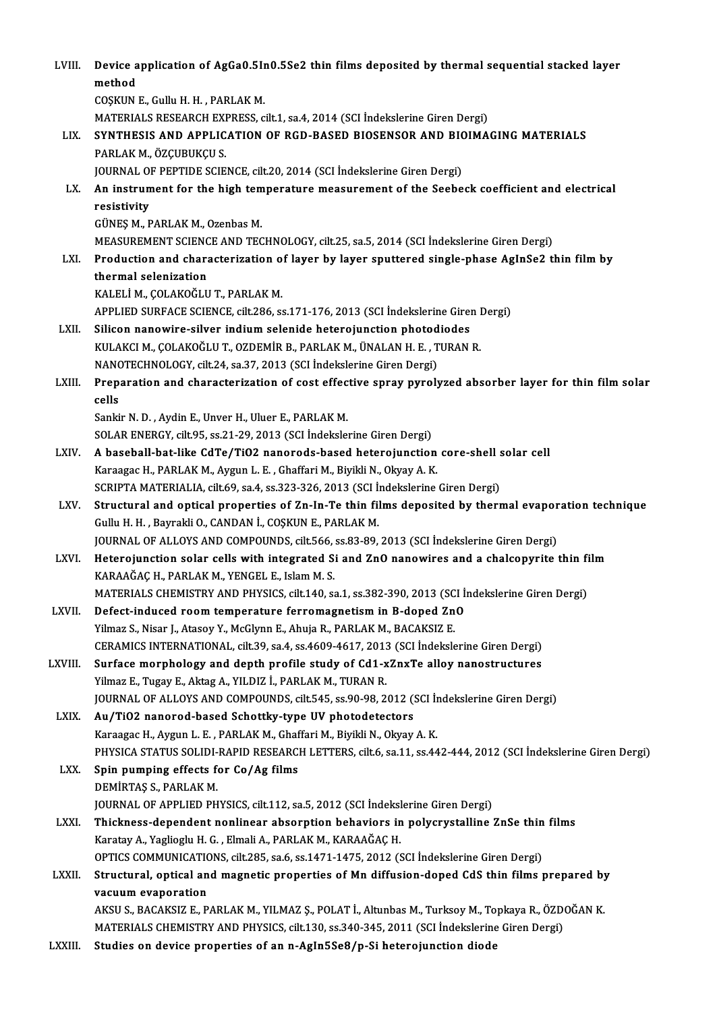| LVIII.       | Device application of AgGa0.5In0.5Se2 thin films deposited by thermal sequential stacked layer                 |
|--------------|----------------------------------------------------------------------------------------------------------------|
|              | method                                                                                                         |
|              | COȘKUN E., Gullu H. H., PARLAK M.                                                                              |
|              | MATERIALS RESEARCH EXPRESS, cilt.1, sa.4, 2014 (SCI İndekslerine Giren Dergi)                                  |
| LIX.         | SYNTHESIS AND APPLICATION OF RGD-BASED BIOSENSOR AND BIOIMAGING MATERIALS                                      |
|              | PARLAK M., ÖZÇUBUKÇU S.                                                                                        |
|              | JOURNAL OF PEPTIDE SCIENCE, cilt.20, 2014 (SCI Indekslerine Giren Dergi)                                       |
| LX.          | An instrument for the high temperature measurement of the Seebeck coefficient and electrical<br>resistivity    |
|              | GÜNEŞ M., PARLAK M., Ozenbas M.                                                                                |
|              | MEASUREMENT SCIENCE AND TECHNOLOGY, cilt.25, sa.5, 2014 (SCI İndekslerine Giren Dergi)                         |
| LXI.         | Production and characterization of layer by layer sputtered single-phase AgInSe2 thin film by                  |
|              | thermal selenization                                                                                           |
|              | KALELİ M., ÇOLAKOĞLU T., PARLAK M.                                                                             |
|              | APPLIED SURFACE SCIENCE, cilt.286, ss.171-176, 2013 (SCI İndekslerine Giren Dergi)                             |
| LXII.        | Silicon nanowire-silver indium selenide heterojunction photodiodes                                             |
|              | KULAKCI M., ÇOLAKOĞLU T., OZDEMİR B., PARLAK M., ÜNALAN H. E., TURAN R.                                        |
|              | NANOTECHNOLOGY, cilt.24, sa.37, 2013 (SCI Indekslerine Giren Dergi)                                            |
| LXIII.       | Preparation and characterization of cost effective spray pyrolyzed absorber layer for thin film solar<br>cells |
|              | Sankir N. D., Aydin E., Unver H., Uluer E., PARLAK M.                                                          |
|              | SOLAR ENERGY, cilt.95, ss.21-29, 2013 (SCI İndekslerine Giren Dergi)                                           |
| LXIV.        | A baseball-bat-like CdTe/TiO2 nanorods-based heterojunction core-shell solar cell                              |
|              | Karaagac H., PARLAK M., Aygun L. E., Ghaffari M., Biyikli N., Okyay A. K.                                      |
|              | SCRIPTA MATERIALIA, cilt.69, sa.4, ss.323-326, 2013 (SCI Indekslerine Giren Dergi)                             |
| LXV.         | Structural and optical properties of Zn-In-Te thin films deposited by thermal evaporation technique            |
|              | Gullu H. H., Bayrakli O., CANDAN İ., COŞKUN E., PARLAK M.                                                      |
|              | JOURNAL OF ALLOYS AND COMPOUNDS, cilt.566, ss.83-89, 2013 (SCI İndekslerine Giren Dergi)                       |
| LXVI.        | Heterojunction solar cells with integrated Si and ZnO nanowires and a chalcopyrite thin film                   |
|              | KARAAĞAÇ H., PARLAK M., YENGEL E., Islam M. S.                                                                 |
|              | MATERIALS CHEMISTRY AND PHYSICS, cilt.140, sa.1, ss.382-390, 2013 (SCI İndekslerine Giren Dergi)               |
| <b>LXVII</b> | Defect-induced room temperature ferromagnetism in B-doped ZnO                                                  |
|              | Yilmaz S., Nisar J., Atasoy Y., McGlynn E., Ahuja R., PARLAK M., BACAKSIZ E.                                   |
|              | CERAMICS INTERNATIONAL, cilt.39, sa.4, ss.4609-4617, 2013 (SCI Indekslerine Giren Dergi)                       |
| LXVIII.      | Surface morphology and depth profile study of Cd1-xZnxTe alloy nanostructures                                  |
|              | Yilmaz E., Tugay E., Aktag A., YILDIZ İ., PARLAK M., TURAN R.                                                  |
|              | JOURNAL OF ALLOYS AND COMPOUNDS, cilt.545, ss.90-98, 2012 (SCI Indekslerine Giren Dergi)                       |
| LXIX.        | Au/TiO2 nanorod-based Schottky-type UV photodetectors                                                          |
|              | Karaagac H., Aygun L. E., PARLAK M., Ghaffari M., Biyikli N., Okyay A. K.                                      |
|              | PHYSICA STATUS SOLIDI-RAPID RESEARCH LETTERS, cilt.6, sa.11, ss.442-444, 2012 (SCI İndekslerine Giren Dergi)   |
| LXX.         | Spin pumping effects for Co/Ag films                                                                           |
|              | DEMIRTAS S., PARLAK M.                                                                                         |
|              | JOURNAL OF APPLIED PHYSICS, cilt.112, sa.5, 2012 (SCI İndekslerine Giren Dergi)                                |
| <b>LXXI</b>  | Thickness-dependent nonlinear absorption behaviors in polycrystalline ZnSe thin films                          |
|              | Karatay A., Yaglioglu H. G., Elmali A., PARLAK M., KARAAĞAÇ H.                                                 |
|              | OPTICS COMMUNICATIONS, cilt.285, sa.6, ss.1471-1475, 2012 (SCI İndekslerine Giren Dergi)                       |
| LXXII.       | Structural, optical and magnetic properties of Mn diffusion-doped CdS thin films prepared by                   |
|              | vacuum evaporation                                                                                             |
|              | AKSU S., BACAKSIZ E., PARLAK M., YILMAZ Ş., POLAT İ., Altunbas M., Turksoy M., Topkaya R., ÖZDOĞAN K.          |
|              | MATERIALS CHEMISTRY AND PHYSICS, cilt.130, ss.340-345, 2011 (SCI Indekslerine Giren Dergi)                     |
| LXXIII.      | Studies on device properties of an n-AgIn5Se8/p-Si heterojunction diode                                        |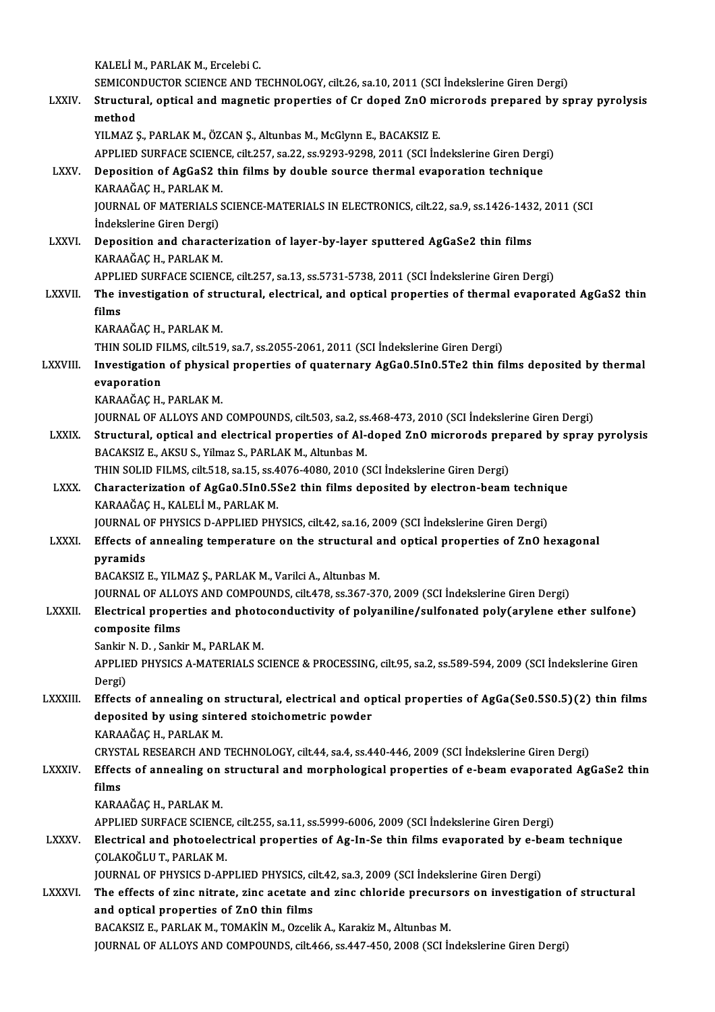KALELİM.,PARLAKM.,ErcelebiC. KALELİ M., PARLAK M., Ercelebi C.<br>SEMICONDUCTOR SCIENCE AND TECHNOLOGY, cilt.26, sa.10, 2011 (SCI İndekslerine Giren Dergi)<br>Structural, antical and magnetis proportise of Cr. daped ZnO misrarade propored by ex KALELİ M., PARLAK M., Ercelebi C.<br>SEMICONDUCTOR SCIENCE AND TECHNOLOGY, cilt.26, sa.10, 2011 (SCI İndekslerine Giren Dergi)<br>LXXIV. Structural, optical and magnetic properties of Cr doped ZnO microrods prepared by spray SEMICON<br>Structur<br>method<br><sup>VII MA7</sup> Structural, optical and magnetic properties of Cr doped ZnO mi<br>method<br>YILMAZ Ş., PARLAK M., ÖZCAN Ş., Altunbas M., McGlynn E., BACAKSIZ E.<br>APPLIED SURFACE SCIENCE silt 257, sa 22, sa 9293, 9299, 2011 (SCL İn method<br>YILMAZ Ş., PARLAK M., ÖZCAN Ş., Altunbas M., McGlynn E., BACAKSIZ E.<br>APPLIED SURFACE SCIENCE, cilt.257, sa.22, ss.9293-9298, 2011 (SCI İndekslerine Giren Dergi) YILMAZ Ş., PARLAK M., ÖZCAN Ş., Altunbas M., McGlynn E., BACAKSIZ E.<br>APPLIED SURFACE SCIENCE, cilt.257, sa.22, ss.9293-9298, 2011 (SCI İndekslerine Giren Derg<br>LXXV. Deposition of AgGaS2 thin films by double source thermal APPLIED SURFACE SCIENC<br>Deposition of AgGaS2 tl<br>KARAAĞAÇ H., PARLAK M.<br>JOUPNAL OF MATERIALS S Deposition of AgGaS2 thin films by double source thermal evaporation technique<br>KARAAĞAÇ H., PARLAK M.<br>JOURNAL OF MATERIALS SCIENCE-MATERIALS IN ELECTRONICS, cilt.22, sa.9, ss.1426-1432, 2011 (SCI KARAAĞAÇ H., PARLAK M.<br>JOURNAL OF MATERIALS<br>İndekslerine Giren Dergi)<br>Denesition and sharest JOURNAL OF MATERIALS SCIENCE-MATERIALS IN ELECTRONICS, cilt.22, sa.9, ss.1426-143.<br>
indekslerine Giren Dergi)<br>
LXXVI. Deposition and characterization of layer-by-layer sputtered AgGaSe2 thin films<br>
KARAAČAC U. PARLAK M İndekslerine Giren Dergi)<br>Deposition and charact<br>KARAAĞAÇ H., PARLAK M.<br>APPLIED SUPEACE SCIENC Deposition and characterization of layer-by-layer sputtered AgGaSe2 thin films<br>KARAAĞAÇ H., PARLAK M.<br>APPLIED SURFACE SCIENCE, cilt.257, sa.13, ss.5731-5738, 2011 (SCI İndekslerine Giren Dergi)<br>The investigation of structu KARAAĞAÇ H., PARLAK M.<br>APPLIED SURFACE SCIENCE, cilt.257, sa.13, ss.5731-5738, 2011 (SCI İndekslerine Giren Dergi)<br>LXXVII. The investigation of structural, electrical, and optical properties of thermal evaporated AgGaS APPLI<br>The in<br>films<br>KARA The investigation of stri<br>films<br>KARAAĞAÇ H., PARLAK M.<br>THIN SOLID EH MS. silt 516 films<br>KARAAĞAÇ H., PARLAK M.<br>THIN SOLID FILMS, cilt.519, sa.7, ss.2055-2061, 2011 (SCI İndekslerine Giren Dergi) KARAAĞAÇ H., PARLAK M.<br>THIN SOLID FILMS, cilt.519, sa.7, ss.2055-2061, 2011 (SCI İndekslerine Giren Dergi)<br>LXXVIII. Investigation of physical properties of quaternary AgGa0.5In0.5Te2 thin films deposited by thermal THIN SOLID FI<br>Investigation<br>evaporation<br>KARAAČAC H Investigation of physica<br>evaporation<br>KARAAĞAÇ H., PARLAK M.<br>IQUPNAL OF ALLOYS AND evaporation<br>KARAAĞAÇ H., PARLAK M.<br>JOURNAL OF ALLOYS AND COMPOUNDS, cilt.503, sa.2, ss.468-473, 2010 (SCI İndekslerine Giren Dergi)<br>Strugtural, ontical and electrical proporties of Al daped ZnO misrorads propored by sprov KARAAĞAÇ H., PARLAK M.<br>JOURNAL OF ALLOYS AND COMPOUNDS, cilt.503, sa.2, ss.468-473, 2010 (SCI İndekslerine Giren Dergi)<br>LXXIX. Structural, optical and electrical properties of Al-doped ZnO microrods prepared by spray pyrol JOURNAL OF ALLOYS AND COMPOUNDS, cilt.503, sa.2, ss<br>Structural, optical and electrical properties of Al-<br>BACAKSIZ E., AKSU S., Yilmaz S., PARLAK M., Altunbas M.<br>THIN SOLID ELLMS, silt 519, sa 15, ss 4076, 4090, 2010. (1 Structural, optical and electrical properties of Al-doped ZnO microrods pre<br>BACAKSIZ E., AKSU S., Yilmaz S., PARLAK M., Altunbas M.<br>THIN SOLID FILMS, cilt.518, sa.15, ss.4076-4080, 2010 (SCI İndekslerine Giren Dergi)<br>Chara BACAKSIZ E., AKSU S., Yilmaz S., PARLAK M., Altunbas M.<br>THIN SOLID FILMS, cilt.518, sa.15, ss.4076-4080, 2010 (SCI İndekslerine Giren Dergi)<br>LXXX. Characterization of AgGa0.5In0.5Se2 thin films deposited by electron-beam t THIN SOLID FILMS, cilt.518, sa.15, ss.4076-4080, 2010 (SCI Indekslerine Giren Dergi)<br>Characterization of AgGa0.5In0.5Se2 thin films deposited by electron-beam techni<br>KARAAĞAÇ H., KALELİM., PARLAKM.<br>JOURNAL OF PHYSICS D-APP Characterization of AgGa0.5In0.5Se2 thin films deposited by electron-beam technic<br>KARAAĞAÇ H., KALELİ M., PARLAK M.<br>JOURNAL OF PHYSICS D-APPLIED PHYSICS, cilt.42, sa.16, 2009 (SCI İndekslerine Giren Dergi)<br>Fffects of annoa LXXXI. Effects of annealing temperature on the structural and optical properties of ZnO hexagonal pyramids BACAKSIZ E., YILMAZ Ş., PARLAK M., Varilci A., Altunbas M. JOURNALOFALLOYSANDCOMPOUNDS, cilt.478, ss.367-370,2009 (SCI İndekslerineGirenDergi) BACAKSIZ E., YILMAZ Ş., PARLAK M., Varilci A., Altunbas M.<br>JOURNAL OF ALLOYS AND COMPOUNDS, cilt.478, ss.367-370, 2009 (SCI İndekslerine Giren Dergi)<br>LXXXII. Electrical properties and photoconductivity of polyaniline/s JOURNAL OF ALLO<br>Electrical prope<br>composite films<br>Sankin N. D. Sanki Electrical properties and photo<br>composite films<br>Sankir N. D. , Sankir M., PARLAK M.<br>APPLIED PHYSICS A MATERIALS S composite films<br>Sankir N. D. , Sankir M., PARLAK M.<br>APPLIED PHYSICS A-MATERIALS SCIENCE & PROCESSING, cilt.95, sa.2, ss.589-594, 2009 (SCI İndekslerine Giren Sankir<br>APPLIE<br>Dergi)<br>Effects APPLIED PHYSICS A-MATERIALS SCIENCE & PROCESSING, cilt.95, sa.2, ss.589-594, 2009 (SCI Indekslerine Giren<br>Dergi)<br>LXXXIII. Effects of annealing on structural, electrical and optical properties of AgGa(Se0.5S0.5)(2) thin fil Dergi)<br>Effects of annealing on structural, electrical and op<br>deposited by using sintered stoichometric powder<br>KARAAČAC H. BARLAK M Effects of annealing on<br>deposited by using sint<br>KARAAĞAÇ H., PARLAK M.<br>CPVSTAL PESEAPCH AND KARAAĞAÇ H., PARLAK M.<br>CRYSTAL RESEARCH AND TECHNOLOGY, cilt.44, sa.4, ss.440-446, 2009 (SCI İndekslerine Giren Dergi) KARAAĞAÇ H., PARLAK M.<br>CRYSTAL RESEARCH AND TECHNOLOGY, cilt.44, sa.4, ss.440-446, 2009 (SCI İndekslerine Giren Dergi)<br>LXXXIV. Effects of annealing on structural and morphological properties of e-beam evaporated AgGaSe CRYST<br><mark>Effect</mark><br>films<br><sup>KARA</sup> Effects of annealing on<br>films<br>KARAAĞAÇ H., PARLAK M.<br>APPLIED SUPEACE SCIENC films<br>KARAAĞAÇ H., PARLAK M.<br>APPLIED SURFACE SCIENCE, cilt.255, sa.11, ss.5999-6006, 2009 (SCI İndekslerine Giren Dergi)<br>Flastrisal and photoolastrisal proportias of As In So thin films avaparated by o bası KARAAĞAÇ H., PARLAK M.<br>APPLIED SURFACE SCIENCE, cilt.255, sa.11, ss.5999-6006, 2009 (SCI İndekslerine Giren Dergi)<br>LXXXV. Electrical and photoelectrical properties of Ag-In-Se thin films evaporated by e-beam technique<br>COLA APPLIED SURFACE SCIENCI<br>Electrical and photoelec<br>COLAKOĞLU T., PARLAK M.<br>IOUPNAL OF PHYSICS D. AR Electrical and photoelectrical properties of Ag-In-Se thin films evaporated by e-be<br>COLAKOĞLU T., PARLAK M.<br>JOURNAL OF PHYSICS D-APPLIED PHYSICS, cilt.42, sa.3, 2009 (SCI İndekslerine Giren Dergi)<br>The effects of sine pitra COLAKOĞLU T., PARLAK M.<br>JOURNAL OF PHYSICS D-APPLIED PHYSICS, cilt.42, sa.3, 2009 (SCI İndekslerine Giren Dergi)<br>LXXXVI. The effects of zinc nitrate, zinc acetate and zinc chloride precursors on investigation of structural JOURNAL OF PHYSICS D-APPLIED PHYSICS, ci<br>The effects of zinc nitrate, zinc acetate a<br>and optical properties of ZnO thin films<br>BACAKSIZE BABLAK M\_TOMAKIN M\_OTGOL The effects of zinc nitrate, zinc acetate and zinc chloride precurs<br>and optical properties of ZnO thin films<br>BACAKSIZ E., PARLAK M., TOMAKİN M., Ozcelik A., Karakiz M., Altunbas M.<br>JOUPMAL OF ALLOYS AND COMPOUNDS silt 466, and optical properties of ZnO thin films<br>BACAKSIZ E., PARLAK M., TOMAKİN M., Ozcelik A., Karakiz M., Altunbas M.<br>JOURNAL OF ALLOYS AND COMPOUNDS, cilt.466, ss.447-450, 2008 (SCI İndekslerine Giren Dergi)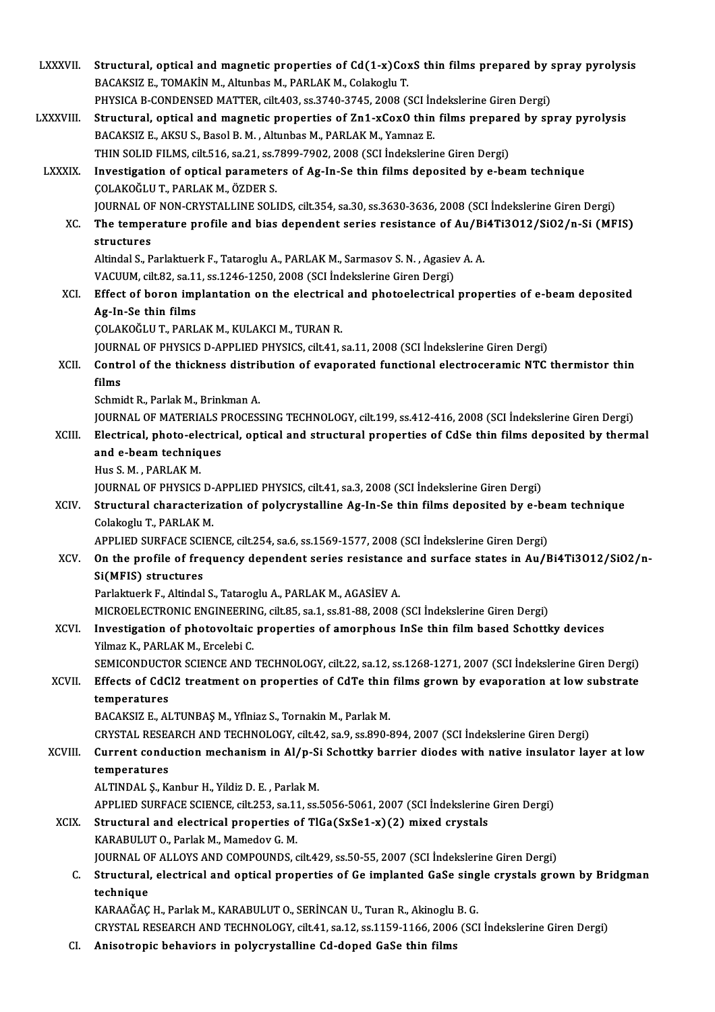| <b>LXXXVII.</b> | Structural, optical and magnetic properties of Cd(1-x)CoxS thin films prepared by spray pyrolysis                                                                                                     |
|-----------------|-------------------------------------------------------------------------------------------------------------------------------------------------------------------------------------------------------|
|                 | BACAKSIZ E., TOMAKİN M., Altunbas M., PARLAK M., Colakoglu T.                                                                                                                                         |
|                 | PHYSICA B-CONDENSED MATTER, cilt.403, ss.3740-3745, 2008 (SCI Indekslerine Giren Dergi)                                                                                                               |
| <b>LXXXVIII</b> | Structural, optical and magnetic properties of Zn1-xCoxO thin films prepared by spray pyrolysis                                                                                                       |
|                 | BACAKSIZ E., AKSU S., Basol B. M., Altunbas M., PARLAK M., Yamnaz E.                                                                                                                                  |
|                 | THIN SOLID FILMS, cilt.516, sa.21, ss.7899-7902, 2008 (SCI İndekslerine Giren Dergi)                                                                                                                  |
| <b>LXXXIX</b>   | Investigation of optical parameters of Ag-In-Se thin films deposited by e-beam technique                                                                                                              |
|                 | ÇOLAKOĞLU T., PARLAK M., ÖZDER S.                                                                                                                                                                     |
|                 | JOURNAL OF NON-CRYSTALLINE SOLIDS, cilt.354, sa.30, ss.3630-3636, 2008 (SCI İndekslerine Giren Dergi)                                                                                                 |
| XC.             | The temperature profile and bias dependent series resistance of Au/Bi4Ti3O12/SiO2/n-Si (MFIS)<br>structures                                                                                           |
|                 | Altindal S., Parlaktuerk F., Tataroglu A., PARLAK M., Sarmasov S. N., Agasiev A. A.                                                                                                                   |
|                 | VACUUM, cilt.82, sa.11, ss.1246-1250, 2008 (SCI İndekslerine Giren Dergi)                                                                                                                             |
| XCI.            | Effect of boron implantation on the electrical and photoelectrical properties of e-beam deposited                                                                                                     |
|                 | Ag-In-Se thin films                                                                                                                                                                                   |
|                 | ÇOLAKOĞLU T., PARLAK M., KULAKCI M., TURAN R.                                                                                                                                                         |
|                 | JOURNAL OF PHYSICS D-APPLIED PHYSICS, cilt.41, sa.11, 2008 (SCI Indekslerine Giren Dergi)                                                                                                             |
| XCII.           | Control of the thickness distribution of evaporated functional electroceramic NTC thermistor thin                                                                                                     |
|                 | films                                                                                                                                                                                                 |
|                 | Schmidt R., Parlak M., Brinkman A.                                                                                                                                                                    |
|                 | JOURNAL OF MATERIALS PROCESSING TECHNOLOGY, cilt.199, ss.412-416, 2008 (SCI Indekslerine Giren Dergi)                                                                                                 |
| XCIII.          | Electrical, photo-electrical, optical and structural properties of CdSe thin films deposited by thermal                                                                                               |
|                 | and e-beam techniques                                                                                                                                                                                 |
|                 | Hus S. M., PARLAK M.                                                                                                                                                                                  |
|                 | JOURNAL OF PHYSICS D-APPLIED PHYSICS, cilt.41, sa.3, 2008 (SCI İndekslerine Giren Dergi)                                                                                                              |
| XCIV.           | Structural characterization of polycrystalline Ag-In-Se thin films deposited by e-beam technique                                                                                                      |
|                 | Colakoglu T, PARLAK M.                                                                                                                                                                                |
|                 | APPLIED SURFACE SCIENCE, cilt.254, sa.6, ss.1569-1577, 2008 (SCI İndekslerine Giren Dergi)                                                                                                            |
| XCV.            | On the profile of frequency dependent series resistance and surface states in Au/Bi4Ti3O12/SiO2/n-                                                                                                    |
|                 | Si(MFIS) structures                                                                                                                                                                                   |
|                 | Parlaktuerk F., Altindal S., Tataroglu A., PARLAK M., AGASİEV A.                                                                                                                                      |
|                 | MICROELECTRONIC ENGINEERING, cilt.85, sa.1, ss.81-88, 2008 (SCI Indekslerine Giren Dergi)                                                                                                             |
| XCVI.           | Investigation of photovoltaic properties of amorphous InSe thin film based Schottky devices                                                                                                           |
|                 | Yilmaz K., PARLAK M., Ercelebi C.                                                                                                                                                                     |
|                 | SEMICONDUCTOR SCIENCE AND TECHNOLOGY, cilt.22, sa.12, ss.1268-1271, 2007 (SCI Indekslerine Giren Dergi)                                                                                               |
| <b>XCVII</b>    | Effects of CdCl2 treatment on properties of CdTe thin films grown by evaporation at low substrate                                                                                                     |
|                 | temperatures                                                                                                                                                                                          |
|                 | BACAKSIZ E., ALTUNBAŞ M., Yflniaz S., Tornakin M., Parlak M.                                                                                                                                          |
| XCVIII.         | CRYSTAL RESEARCH AND TECHNOLOGY, cilt.42, sa.9, ss.890-894, 2007 (SCI İndekslerine Giren Dergi)<br>Current conduction mechanism in Al/p-Si Schottky barrier diodes with native insulator layer at low |
|                 | temperatures                                                                                                                                                                                          |
|                 | ALTINDAL Ş., Kanbur H., Yildiz D. E., Parlak M.                                                                                                                                                       |
|                 | APPLIED SURFACE SCIENCE, cilt.253, sa.11, ss.5056-5061, 2007 (SCI İndekslerine Giren Dergi)                                                                                                           |
| <b>XCIX</b>     | Structural and electrical properties of TlGa(SxSe1-x)(2) mixed crystals                                                                                                                               |
|                 | KARABULUT O., Parlak M., Mamedov G. M.                                                                                                                                                                |
|                 | JOURNAL OF ALLOYS AND COMPOUNDS, cilt.429, ss.50-55, 2007 (SCI Indekslerine Giren Dergi)                                                                                                              |
| C.              | Structural, electrical and optical properties of Ge implanted GaSe single crystals grown by Bridgman                                                                                                  |
|                 | technique                                                                                                                                                                                             |
|                 | KARAAĞAÇ H., Parlak M., KARABULUT O., SERİNCAN U., Turan R., Akinoglu B. G.                                                                                                                           |
|                 | CRYSTAL RESEARCH AND TECHNOLOGY, cilt.41, sa.12, ss.1159-1166, 2006 (SCI Indekslerine Giren Dergi)                                                                                                    |
| CI              | Anisotropic behaviors in polycrystalline Cd-doped GaSe thin films                                                                                                                                     |
|                 |                                                                                                                                                                                                       |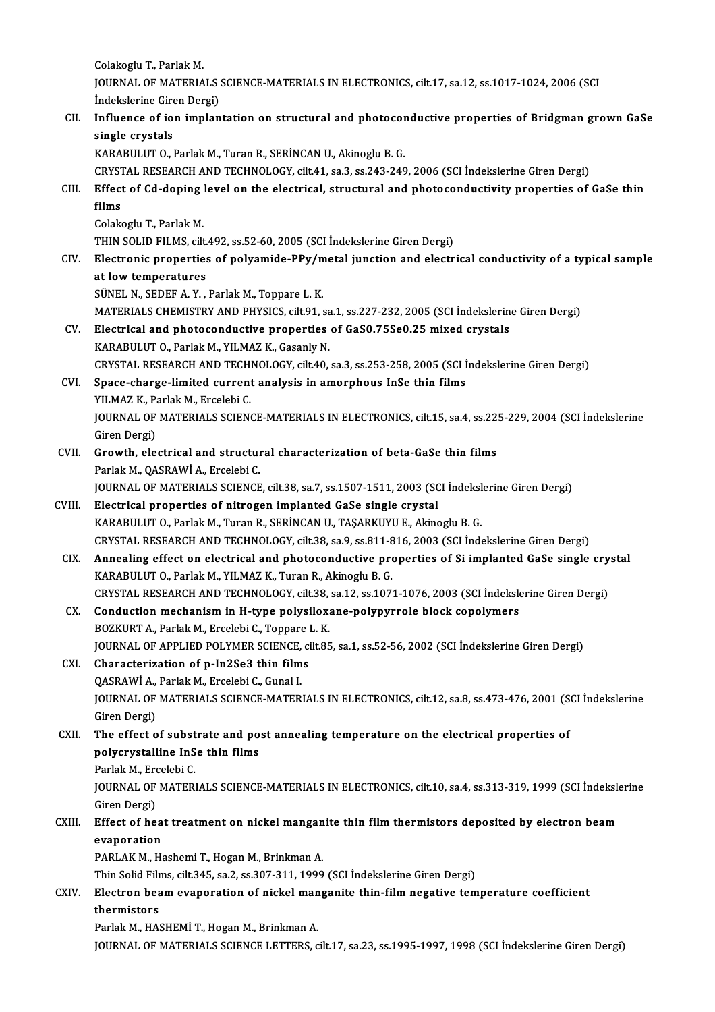ColakogluT.,ParlakM. Colakoglu T., Parlak M.<br>JOURNAL OF MATERIALS SCIENCE-MATERIALS IN ELECTRONICS, cilt.17, sa.12, ss.1017-1024, 2006 (SCI) Colakoglu T., Parlak M.<br>JOURNAL OF MATERIALS<br>İndekslerine Giren Dergi)<br>Influence of ion implan

### JOURNAL OF MATERIALS SCIENCE-MATERIALS IN ELECTRONICS, cilt.17, sa.12, ss.1017-1024, 2006 (SCI<br>Indekslerine Giren Dergi)<br>CII. Influence of ion implantation on structural and photoconductive properties of Bridgman grown GaS **indekslerine Gire<br>Influence of io<br>single crystals<br>KARAPIU UT O** Influence of ion implantation on structural and photocor<br>single crystals<br>KARABULUT O., Parlak M., Turan R., SERİNCAN U., Akinoglu B. G.<br>CRYSTAL RESEARCH AND TECHNOLOCY silt 41, sa 3, ss 343, 346 single crystals<br>KARABULUT O., Parlak M., Turan R., SERİNCAN U., Akinoglu B. G.<br>CRYSTAL RESEARCH AND TECHNOLOGY, cilt.41, sa.3, ss.243-249, 2006 (SCI İndekslerine Giren Dergi)<br>Effect of Cd doning level on the electrical str KARABULUT 0., Parlak M., Turan R., SERİNCAN U., Akinoglu B. G.<br>CRYSTAL RESEARCH AND TECHNOLOGY, cilt.41, sa.3, ss.243-249, 2006 (SCI İndekslerine Giren Dergi)<br>CIII. Effect of Cd-doping level on the electrical, structural a CRYST<br><mark>Effect</mark><br>films Effect of Cd-doping<br>films<br>Colakoglu T., Parlak M.<br>THIN SOLID FILMS cill fil<mark>ms</mark><br>Colakoglu T., Parlak M.<br>THIN SOLID FILMS, cilt.492, ss.52-60, 2005 (SCI İndekslerine Giren Dergi)<br>Flastronia proportios of polyamide PBy (metal jungtion and electr Colakoglu T., Parlak M.<br>THIN SOLID FILMS, cilt.492, ss.52-60, 2005 (SCI İndekslerine Giren Dergi)<br>CIV. Electronic properties of polyamide-PPy/metal junction and electrical conductivity of a typical sample<br>at low temperatur THIN SOLID FILMS, cilt.<br>Electronic properties<br>at low temperatures<br>SÜNEL N. SEDEE A. Y SÜNELN.,SEDEFA.Y. ,ParlakM.,Toppare L.K. at low temperatures<br>SÜNEL N., SEDEF A. Y. , Parlak M., Toppare L. K.<br>MATERIALS CHEMISTRY AND PHYSICS, cilt.91, sa.1, ss.227-232, 2005 (SCI İndekslerine Giren Dergi)<br>Flastriaal and photosondustive proportise of CeSO 75500.3 SÜNEL N., SEDEF A. Y. , Parlak M., Toppare L. K.<br>MATERIALS CHEMISTRY AND PHYSICS, cilt.91, sa.1, ss.227-232, 2005 (SCI İndekslerin<br>CV. Electrical and photoconductive properties of GaS0.75Se0.25 mixed crystals<br>KARAPULUTO, B MATERIALS CHEMISTRY AND PHYSICS, cilt.91, sa<br>Electrical and photoconductive properties<br>KARABULUT O., Parlak M., YILMAZ K., Gasanly N.<br>CRYSTAL RESEARCH AND TECHNOLOCY, silt.40. CV. Electrical and photoconductive properties of GaS0.75Se0.25 mixed crystals<br>KARABULUT O., Parlak M., YILMAZ K., Gasanly N.<br>CRYSTAL RESEARCH AND TECHNOLOGY, cilt.40, sa.3, ss.253-258, 2005 (SCI Indekslerine Giren Dergi) KARABULUT O., Parlak M., YILMAZ K., Gasanly N.<br>CRYSTAL RESEARCH AND TECHNOLOGY, cilt.40, sa.3, ss.253-258, 2005 (SCI I<br>CVI. Space-charge-limited current analysis in amorphous InSe thin films<br>VILMAZ K. Barlak M. Excelsbi G. CRYSTAL RESEARCH AND TECH<br>Space-charge-limited current<br>YILMAZ K., Parlak M., Ercelebi C.<br>JOUPNAL OF MATEDIALS SCIEN JOURNAL OF MATERIALS SCIENCE-MATERIALS IN ELECTRONICS, cilt.15, sa.4, ss.225-229, 2004 (SCI İndekslerine<br>Giren Dergi) YILMAZ K., Parlak M., Ercelebi C. JOURNAL OF MATERIALS SCIENCE-MATERIALS IN ELECTRONICS, cilt.15, sa.4, ss.22.<br>Giren Dergi)<br>CVII. Growth, electrical and structural characterization of beta-GaSe thin films<br>Parlak M. OASPAWI A. Freelabi C Giren Dergi)<br>Growth, electrical and structur<br>Parlak M., QASRAWİ A., Ercelebi C.<br>JOUPNAL OF MATERIALS SCIENCE Growth, electrical and structural characterization of beta-GaSe thin films<br>Parlak M., QASRAWİ A., Ercelebi C.<br>JOURNAL OF MATERIALS SCIENCE, cilt.38, sa.7, ss.1507-1511, 2003 (SCI İndekslerine Giren Dergi)<br>Flastriaal propor Parlak M., QASRAWİ A., Ercelebi C.<br>JOURNAL OF MATERIALS SCIENCE, cilt.38, sa.7, ss.1507-1511, 2003 (SCI İndeksl<br>CVIII. Electrical properties of nitrogen implanted GaSe single crystal<br>KARABULUT O., Parlak M., Turan R., SERİ JOURNAL OF MATERIALS SCIENCE, cilt.38, sa.7, ss.1507-1511, 2003 (SCI İndeksl<br>Electrical properties of nitrogen implanted GaSe single crystal<br>KARABULUT O., Parlak M., Turan R., SERİNCAN U., TAŞARKUYU E., Akinoglu B. G.<br>CRYS CRYSTALRESEARCHANDTECHNOLOGY, cilt.38, sa.9, ss.811-816,2003 (SCI İndekslerineGirenDergi) KARABULUT O., Parlak M., Turan R., SERİNCAN U., TAŞARKUYU E., Akinoglu B. G.<br>CRYSTAL RESEARCH AND TECHNOLOGY, cilt.38, sa.9, ss.811-816, 2003 (SCI İndekslerine Giren Dergi)<br>CIX. Annealing effect on electrical and photocond CRYSTAL RESEARCH AND TECHNOLOGY, cilt.38, sa.9, ss.811-8<br>Annealing effect on electrical and photoconductive pro<br>KARABULUT O., Parlak M., YILMAZ K., Turan R., Akinoglu B. G.<br>CRYSTAL RESEARCH AND TECHNOLOGY, silt.38, ss.13, Annealing effect on electrical and photoconductive properties of Si implanted GaSe single cry<br>KARABULUT O., Parlak M., YILMAZ K., Turan R., Akinoglu B. G.<br>CRYSTAL RESEARCH AND TECHNOLOGY, cilt.38, sa.12, ss.1071-1076, 2003 KARABULUT O., Parlak M., YILMAZ K., Turan R., Akinoglu B. G.<br>CRYSTAL RESEARCH AND TECHNOLOGY, cilt.38, sa.12, ss.1071-1076, 2003 (SCI İndeksle<br>CX. Conduction mechanism in H-type polysiloxane-polypyrrole block copolymers<br>PO CRYSTAL RESEARCH AND TECHNOLOGY, cilt.38,<br>Conduction mechanism in H-type polysilox:<br>BOZKURT A., Parlak M., Ercelebi C., Toppare L. K.<br>JOUPMAL OF APPLIED POLYMED SCIENCE, silt 85 Conduction mechanism in H-type polysiloxane-polypyrrole block copolymers<br>BOZKURT A., Parlak M., Ercelebi C., Toppare L. K.<br>JOURNAL OF APPLIED POLYMER SCIENCE, cilt.85, sa.1, ss.52-56, 2002 (SCI İndekslerine Giren Dergi)<br>Ch BOZKURT A., Parlak M., Ercelebi C., Toppare L. K.<br>JOURNAL OF APPLIED POLYMER SCIENCE, cilt.85<br>CXI. Characterization of p-In2Se3 thin films JOURNAL OF APPLIED POLYMER SCIENCE,<br>Characterization of p-In2Se3 thin film<br>QASRAWİ A., Parlak M., Ercelebi C., Gunal I.<br>JOUPNAL OF MATEDIALS SCIENCE MATED. JOURNAL OF MATERIALS SCIENCE-MATERIALS IN ELECTRONICS, cilt.12, sa.8, ss.473-476, 2001 (SCI İndekslerine<br>Giren Dergi) QASRAWİ A., Parlak M., Ercelebi C., Gunal I. JOURNAL OF MATERIALS SCIENCE-MATERIALS IN ELECTRONICS, cilt.12, sa.8, ss.473-476, 2001 (S<br>Giren Dergi)<br>CXII. The effect of substrate and post annealing temperature on the electrical properties of<br>noluseyetalling InSe thin Giren Dergi)<br>The effect of substrate and po<br>polycrystalline InSe thin films<br>Parlak M. Excelsbi C The effect of subst<br>polycrystalline InS<br>Parlak M., Ercelebi C.<br>JOUPMAL OF MATER! polycrystalline InSe thin films<br>Parlak M., Ercelebi C.<br>JOURNAL OF MATERIALS SCIENCE-MATERIALS IN ELECTRONICS, cilt.10, sa.4, ss.313-319, 1999 (SCI İndekslerine<br>Giren Dergi) Parlak M., Ero<br>JOURNAL OF<br>Giren Dergi)<br>Effect of be JOURNAL OF MATERIALS SCIENCE-MATERIALS IN ELECTRONICS, cilt.10, sa.4, ss.313-319, 1999 (SCI İndeksle<br>Giren Dergi)<br>CXIII. Effect of heat treatment on nickel manganite thin film thermistors deposited by electron beam Giren Dergi)<br><mark>Effect of hea</mark><br>evaporation<br><sup>DADI AV M H</sub></sup> Effect of heat treatment on nickel mangan<br>evaporation<br>PARLAK M., Hashemi T., Hogan M., Brinkman A.<br>Thin Solid Eilme, silt 245, so 2, so 207, 211, 1999 <mark>evaporation</mark><br>PARLAK M., Hashemi T., Hogan M., Brinkman A.<br>Thin Solid Films, cilt.345, sa.2, ss.307-311, 1999 (SCI İndekslerine Giren Dergi)<br>Flestren beem eveneration of nickel mengenite thin film negative tem PARLAK M., Hashemi T., Hogan M., Brinkman A.<br>Thin Solid Films, cilt.345, sa.2, ss.307-311, 1999 (SCI İndekslerine Giren Dergi)<br>CXIV. Electron beam evaporation of nickel manganite thin-film negative temperature coefficient<br>

Thin Solid Film<br>Electron bea<br>thermistors<br>Porlak M. HA! Electron beam evaporation of nickel man<br>thermistors<br>Parlak M., HASHEMİ T., Hogan M., Brinkman A.<br>JOUPMAL OF MATERIALS SCIENCE LETTERS

thermistors<br>Parlak M., HASHEMİ T., Hogan M., Brinkman A.<br>JOURNAL OF MATERIALS SCIENCE LETTERS, cilt.17, sa.23, ss.1995-1997, 1998 (SCI İndekslerine Giren Dergi)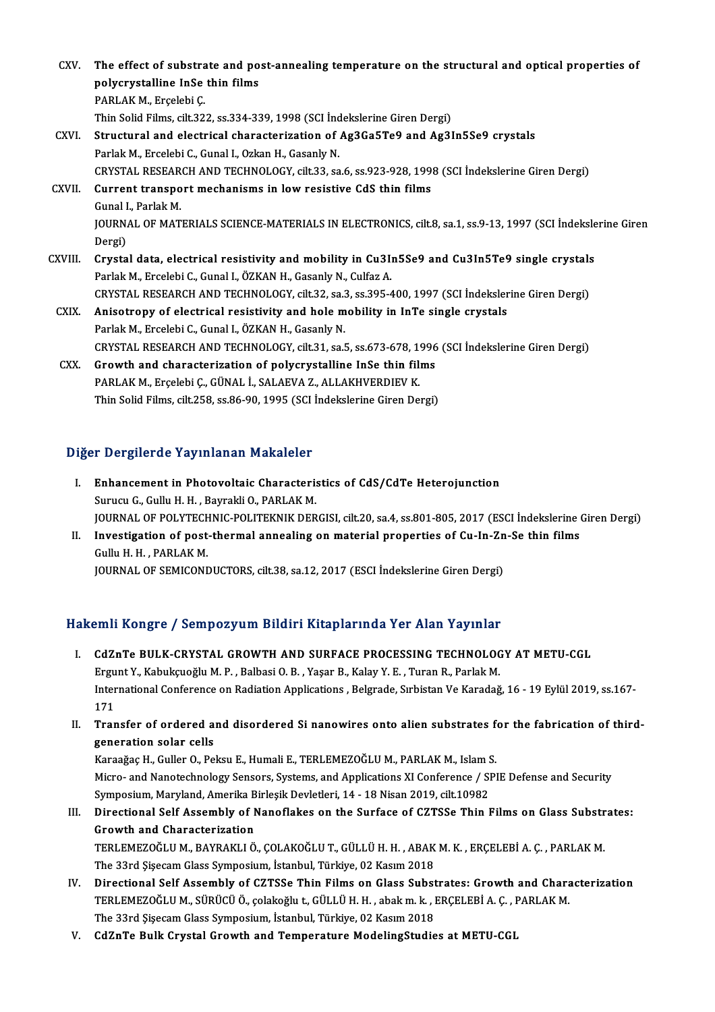- CXV. The effect of substrate and post-annealing temperature on the structural and optical properties of The effect of substrate and po<br>polycrystalline InSe thin films<br>PARLAK M. Engelabi C The effect of substra<br>polycrystalline InSe<br>PARLAK M., Erçelebi Ç.<br>Thin Solid Films, silt 22. polycrystalline InSe thin films<br>PARLAK M., Erçelebi Ç.<br>Thin Solid Films, cilt.322, ss.334-339, 1998 (SCI İndekslerine Giren Dergi)<br>Structurel and electrical sharesterination of As2Ce5TeQ and As2I PARLAK M., Erçelebi Ç.<br>Thin Solid Films, cilt.322, ss.334-339, 1998 (SCI İndekslerine Giren Dergi)<br>CXVI. Structural and electrical characterization of Ag3Ga5Te9 and Ag3In5Se9 crystals<br>Parlak M., Ercelebi C., Gunal I., Ozka Thin Solid Films, cilt.322, ss.334-339, 1998 (SCI Ind<br>Structural and electrical characterization of .<br>Parlak M., Ercelebi C., Gunal I., Ozkan H., Gasanly N.<br>CRYSTAL RESEARCH AND TECHNOLOCY cilt 33, sa Structural and electrical characterization of Ag3Ga5Te9 and Ag3In5Se9 crystals<br>Parlak M., Ercelebi C., Gunal I., Ozkan H., Gasanly N.<br>CRYSTAL RESEARCH AND TECHNOLOGY, cilt.33, sa.6, ss.923-928, 1998 (SCI İndekslerine Giren Parlak M., Ercelebi C., Gunal I., Ozkan H., Gasanly N.<br>CRYSTAL RESEARCH AND TECHNOLOGY, cilt.33, sa.6, ss.923-928, 199;<br>CXVII. Current transport mechanisms in low resistive CdS thin films<br>Cunal L. Barlak M. CRYSTAL RESEAR<br>Current transpo<br>Gunal I., Parlak M.<br>JOUPNAL OF MAT Current transport mechanisms in low resistive CdS thin films<br>Gunal I., Parlak M.<br>JOURNAL OF MATERIALS SCIENCE-MATERIALS IN ELECTRONICS, cilt.8, sa.1, ss.9-13, 1997 (SCI İndekslerine Giren<br>Dergi) Gunal I<br>JOURN<br>Dergi)<br>Cryste Dergi)<br>CXVIII. Crystal data, electrical resistivity and mobility in Cu3In5Se9 and Cu3In5Te9 single crystals Parlak M., Ercelebi C., Gunal I., ÖZKAN H., Gasanly N., Culfaz A. Crystal data, electrical resistivity and mobility in Cu3In5Se9 and Cu3In5Te9 single crystals<br>Parlak M., Ercelebi C., Gunal I., ÖZKAN H., Gasanly N., Culfaz A.<br>CRYSTAL RESEARCH AND TECHNOLOGY, cilt.32, sa.3, ss.395-400, 199 CXIX. Anisotropy of electrical resistivity and hole mobility in InTe single crystals<br>Parlak M., Ercelebi C., Gunal I., ÖZKAN H., Gasanly N. CRYSTAL RESEARCH AND TECHNOLOGY, cilt.32, sa.:<br>Anisotropy of electrical resistivity and hole m<br>Parlak M., Ercelebi C., Gunal I., ÖZKAN H., Gasanly N.<br>CRYSTAL RESEARCH AND TECHNOLOGY, silt 31, sa.i Anisotropy of electrical resistivity and hole mobility in InTe single crystals<br>Parlak M., Ercelebi C., Gunal I., ÖZKAN H., Gasanly N.<br>CRYSTAL RESEARCH AND TECHNOLOGY, cilt.31, sa.5, ss.673-678, 1996 (SCI İndekslerine Giren CRYSTAL RESEARCH AND TECHNOLOGY, cilt.31, sa.5, ss.673-678, 1<br>Growth and characterization of polycrystalline InSe thin fil:<br>PARLAK M., Erçelebi Ç., GÜNAL İ., SALAEVA Z., ALLAKHVERDIEV K.<br>Thin Solid Eilms, silt 358, ss.86,
	- CXX. Growth and characterization of polycrystalline InSe thin films<br>PARLAK M., Ercelebi C., GÜNAL İ., SALAEVA Z., ALLAKHVERDIEV K. Thin Solid Films, cilt.258, ss.86-90, 1995 (SCI İndekslerine Giren Dergi)

### Diğer Dergilerde Yayınlanan Makaleler

- Iger Dergilerde Yayınlanan Makaleler<br>I. Enhancement in Photovoltaic Characteristics of CdS/CdTe Heterojunction Surucu C., Gullu H.H., Bayrakli O., PARLAK M.<br>Surucu G., Gullu H.H., Bayrakli O., PARLAK M.<br>JOUPMAL OF POLYTECHMIC POLITEKMIK DEP Enhancement in Photovoltaic Characteristics of CdS/CdTe Heterojunction<br>Surucu G., Gullu H. H. , Bayrakli O., PARLAK M.<br>JOURNAL OF POLYTECHNIC-POLITEKNIK DERGISI, cilt.20, sa.4, ss.801-805, 2017 (ESCI İndekslerine Giren Der Surucu G., Gullu H. H. , Bayrakli O., PARLAK M.<br>JOURNAL OF POLYTECHNIC-POLITEKNIK DERGISI, cilt.20, sa.4, ss.801-805, 2017 (ESCI İndekslerine (<br>II. Investigation of post-thermal annealing on material properties of Cu-In-Zn
- **JOURNAL OF POLYTECH<br>Investigation of post-<br>Gullu H. H. , PARLAK M.<br>JOUPNAL OF SEMICONE** II. Investigation of post-thermal annealing on material properties of Cu-In-Zn-Se thin films<br>Gullu H. H., PARLAK M.<br>JOURNAL OF SEMICONDUCTORS, cilt.38, sa.12, 2017 (ESCI İndekslerine Giren Dergi)

### Hakemli Kongre / Sempozyum Bildiri Kitaplarında Yer Alan Yayınlar

- I. CdZnTe BULK-CRYSTAL GROWTH AND SURFACE PROCESSING TECHNOLOGY ATMETU-CGL ERTH HOLGE 7 DOLLEND UNI DIALIT INCEPTATING TOT IIAN TAYIHAT.<br>Ergunt Y., Kabukçuoğlu M. P. , Balbasi O. B. , Yaşar B., Kalay Y. E. , Turan R., Parlak M.<br>International Conference on Pediation Applications - Belgrade Subjeto CdZnTe BULK-CRYSTAL GROWTH AND SURFACE PROCESSING TECHNOLOGY AT METU-CGL<br>Ergunt Y., Kabukçuoğlu M. P. , Balbasi O. B. , Yaşar B., Kalay Y. E. , Turan R., Parlak M.<br>International Conference on Radiation Applications , Belgr Ergu<br>Inter<br>171<br>Trar International Conference on Radiation Applications , Belgrade, Sırbistan Ve Karadağ, 16 - 19 Eylül 2019, ss.167-<br>171<br>II. Transfer of ordered and disordered Si nanowires onto alien substrates for the fabrication of third-<br>5
- 171<br>Transfer of ordered a<br>generation solar cells<br>Karaağas H. Guller O. Ba Transfer of ordered and disordered Si nanowires onto alien substrates f<br>generation solar cells<br>Karaağaç H., Guller O., Peksu E., Humali E., TERLEMEZOĞLU M., PARLAK M., Islam S.<br>Misro, and Nanotechnology Soncare Systems and

generation solar cells<br>Karaağaç H., Guller O., Peksu E., Humali E., TERLEMEZOĞLU M., PARLAK M., Islam S.<br>Micro- and Nanotechnology Sensors, Systems, and Applications XI Conference / SPIE Defense and Security Karaağaç H., Guller O., Peksu E., Humali E., TERLEMEZOĞLU M., PARLAK M., Islam S.<br>Micro- and Nanotechnology Sensors, Systems, and Applications XI Conference / SI<br>Symposium, Maryland, Amerika Birleşik Devletleri, 14 - 18 Ni

- III. Directional Self Assembly of Nanoflakes on the Surface of CZTSSe Thin Films on Glass Substrates:<br>Growth and Characterization Symposium, Maryland, Amerika B<br>Directional Self Assembly of M<br>Growth and Characterization<br>TEDLEMEZOČLUM, RAVRAKLLÖ Directional Self Assembly of Nanoflakes on the Surface of CZTSSe Thin Films on Glass Substr<br>Growth and Characterization<br>TERLEMEZOĞLU M., BAYRAKLI Ö., ÇOLAKOĞLU T., GÜLLÜ H. H. , ABAK M. K. , ERÇELEBİ A. Ç. , PARLAK M.<br>The Growth and Characterization<br>TERLEMEZOĞLU M., BAYRAKLI Ö., ÇOLAKOĞLU T., GÜLLÜ H. H. , ABAK<br>The 33rd Şişecam Glass Symposium, İstanbul, Türkiye, 02 Kasım 2018<br>Pinestional Self Assemblu of GZTSSe Thin Films en Glass Subst TERLEMEZOĞLU M., BAYRAKLI Ö., ÇOLAKOĞLU T., GÜLLÜ H. H. , ABAK M. K. , ERÇELEBİ A. Ç. , PARLAK M.<br>The 33rd Şişecam Glass Symposium, İstanbul, Türkiye, 02 Kasım 2018<br>IV. Directional Self Assembly of CZTSSe Thin Films on Gla
- The 33rd Şişecam Glass Symposium, İstanbul, Türkiye, 02 Kasım 2018<br>Directional Self Assembly of CZTSSe Thin Films on Glass Substrates: Growth and Chara<br>TERLEMEZOĞLU M., SÜRÜCÜ Ö., çolakoğlu t., GÜLLÜ H. H. , abak m. k. , E TERLEMEZOĞLU M., SÜRÜCÜ Ö., çolakoğlu t., GÜLLÜ H. H. , abak m. k. , ERÇELEBİ A. Ç. , PARLAK M.<br>The 33rd Şişecam Glass Symposium, İstanbul, Türkiye, 02 Kasım 2018
- V. CdZnTe Bulk Crystal Growth and Temperature ModelingStudies at METU-CGL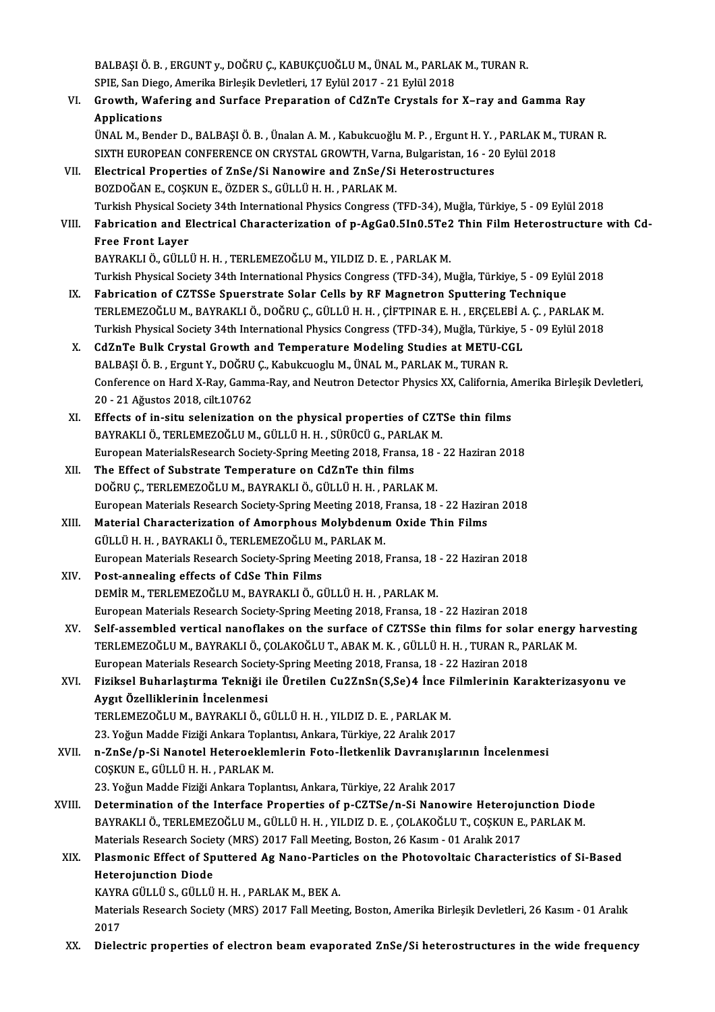BALBAŞI Ö. B. , ERGUNT y., DOĞRU Ç., KABUKÇUOĞLU M., ÜNAL M., PARLAK M., TURAN R.<br>SPIE San Diago, Amerika Birleşik Devletleri, 17 Evlül 2017, 21 Evlül 2019 BALBAŞI Ö. B. , ERGUNT y., DOĞRU Ç., KABUKÇUOĞLU M., ÜNAL M., PARLAI<br>SPIE, San Diego, Amerika Birleşik Devletleri, 17 Eylül 2017 - 21 Eylül 2018<br>Crewth, Wafering and Surface Preparation of Gd7nTe Grustale far SPIE, San Diego, Amerika Birleşik Devletleri, 17 Eylül 2017 - 21 Eylül 2018

VI. Growth,Wafering and Surface Preparation of CdZnTe Crystals for X–ray and Gamma Ray

ÜNAL M., Bender D., BALBAŞI Ö. B. , Ünalan A. M. , Kabukcuoğlu M. P. , Ergunt H. Y. , PARLAK M., TURAN R. Applications<br>ÜNAL M., Bender D., BALBAŞI Ö. B. , Ünalan A. M. , Kabukcuoğlu M. P. , Ergunt H. Y. , PARLAK M.,<br>SIXTH EUROPEAN CONFERENCE ON CRYSTAL GROWTH, Varna, Bulgaristan, 16 - 20 Eylül 2018<br>Flastrisel Broperties of ZnS ÜNAL M., Bender D., BALBAŞI Ö. B. , Ünalan A. M. , Kabukcuoğlu M. P. , Ergunt H. Y. ,<br>SIXTH EUROPEAN CONFERENCE ON CRYSTAL GROWTH, Varna, Bulgaristan, 16 - 20<br>VII. Electrical Properties of ZnSe/Si Nanowire and ZnSe/Si Hete

SIXTH EUROPEAN CONFERENCE ON CRYSTAL GROWTH, Varna<br>Electrical Properties of ZnSe/Si Nanowire and ZnSe/Si<br>BOZDOĞAN E., COŞKUN E., ÖZDER S., GÜLLÜ H. H. , PARLAK M.<br>Turkich Physical Society 34th International Physics Congres VII. Electrical Properties of ZnSe/Si Nanowire and ZnSe/Si Heterostructures<br>BOZDOĞAN E., COŞKUN E., ÖZDER S., GÜLLÜ H. H. , PARLAK M.<br>Turkish Physical Society 34th International Physics Congress (TFD-34), Muğla, Türkiye, 5 BOZDOĞAN E., COŞKUN E., ÖZDER S., GÜLLÜ H. H. , PARLAK M.<br>Turkish Physical Society 34th International Physics Congress (TFD-34), Muğla, Türkiye, 5 - 09 Eylül 2018<br>VIII. Fabrication and Electrical Characterization of p-

```
Turkish Physical Soo<br>Fabrication and E<br>Free Front Layer<br>PAYPAKLLÖ CÜLL
Fabrication and Electrical Characterization of p-AgGa0.5In0.5Te2<br>Free Front Layer<br>BAYRAKLI Ö., GÜLLÜ H. H. , TERLEMEZOĞLU M., YILDIZ D. E. , PARLAK M.<br>Turkich Physisal Sosisty 24th International Physiss Consress (TED 24), 
Free Front Layer<br>BAYRAKLI Ö., GÜLLÜ H. H. , TERLEMEZOĞLU M., YILDIZ D. E. , PARLAK M.<br>Turkish Physical Society 34th International Physics Congress (TFD-34), Muğla, Türkiye, 5 - 09 Eylül 2018
```
- IX. Fabrication of CZTSSe Spuerstrate Solar Cells by RF Magnetron Sputtering Technique Turkish Physical Society 34th International Physics Congress (TFD-34), Muğla, Türkiye, 5 - 09 Eylül 2018<br>Fabrication of CZTSSe Spuerstrate Solar Cells by RF Magnetron Sputtering Technique<br>Turkish Physical Society 24th Inte Fabrication of CZTSSe Spuerstrate Solar Cells by RF Magnetron Sputtering Technique<br>TERLEMEZOĞLU M., BAYRAKLI Ö., DOĞRU Ç., GÜLLÜ H. H. , ÇİFTPINAR E. H. , ERÇELEBİ A. Ç. , PARLAK M.<br>Turkish Physical Society 34th Internatio TERLEMEZOĞLU M., BAYRAKLI Ö., DOĞRU Ç., GÜLLÜ H. H., ÇİFTPINAR E. H., ERÇELEBİ A<br>Turkish Physical Society 34th International Physics Congress (TFD-34), Muğla, Türkiye, 5<br>X. CdZnTe Bulk Crystal Growth and Temperature Modeli
- Turkish Physical Society 34th International Physics Congress (TFD-34), Muğla, Türkiye, 5 09 Eylül 2018<br>X. CdZnTe Bulk Crystal Growth and Temperature Modeling Studies at METU-CGL<br>BALBASI Ö. B. , Ergunt Y., DOĞRU C., K CdZnTe Bulk Crystal Growth and Temperature Modeling Studies at METU-CGL<br>BALBAŞI Ö. B. , Ergunt Y., DOĞRU Ç., Kabukcuoglu M., ÜNAL M., PARLAK M., TURAN R.<br>Conference on Hard X-Ray, Gamma-Ray, and Neutron Detector Physics XX BALBAŞI Ö. B. , Ergunt Y., DOĞRU<br>Conference on Hard X-Ray, Gamn<br>20 - 21 Ağustos 2018, cilt.10762<br>Effecte of in eitu selenization Conference on Hard X-Ray, Gamma-Ray, and Neutron Detector Physics XX, California, *A*<br>20 - 21 Ağustos 2018, cilt.10762<br>XI. Effects of in-situ selenization on the physical properties of CZTSe thin films<br>RAYRAKLLÖ, TERLEMEZO
- 20 21 Ağustos 2018, cilt.10762<br>XI. Effects of in-situ selenization on the physical properties of CZTSe thin films<br>BAYRAKLI Ö., TERLEMEZOĞLU M., GÜLLÜ H. H. , SÜRÜCÜ G., PARLAK M. Effects of in-situ selenization on the physical properties of CZTSe thin films<br>BAYRAKLI Ö., TERLEMEZOĞLU M., GÜLLÜ H. H. , SÜRÜCÜ G., PARLAK M.<br>European MaterialsResearch Society-Spring Meeting 2018, Fransa, 18 - 22 Hazira BAYRAKLI Ö., TERLEMEZOĞLU M., GÜLLÜ H. H., SÜRÜCÜ G., PARLA<br>European MaterialsResearch Society-Spring Meeting 2018, Fransa<br>XII. The Effect of Substrate Temperature on CdZnTe thin films<br>DOČPU C. TEPLEMEZOČLU M. PAYRAKLI Ö.
- European MaterialsResearch Society-Spring Meeting 2018, Fransa, 18 -<br>The Effect of Substrate Temperature on CdZnTe thin films<br>DOĞRU Ç., TERLEMEZOĞLU M., BAYRAKLI Ö., GÜLLÜ H. H. , PARLAK M.<br>European Materials Besearch Soci The Effect of Substrate Temperature on CdZnTe thin films<br>DOĞRU Ç., TERLEMEZOĞLU M., BAYRAKLI Ö., GÜLLÜ H. H. , PARLAK M.<br>European Materials Research Society-Spring Meeting 2018, Fransa, 18 - 22 Haziran 2018<br>Material Charac DOĞRU Ç., TERLEMEZOĞLU M., BAYRAKLI Ö., GÜLLÜ H. H. , PARLAK M.<br>European Materials Research Society-Spring Meeting 2018, Fransa, 18 - 22 Hazira<br>XIII. Material Characterization of Amorphous Molybdenum Oxide Thin Films<br>CÜLLÜ
- European Materials Research Society-Spring Meeting 2018, I<br>Material Characterization of Amorphous Molybdenun<br>GÜLLÜ H. H. , BAYRAKLI Ö., TERLEMEZOĞLU M., PARLAK M.<br>European Materials Besearch Society Spring Meeting 2018 I Material Characterization of Amorphous Molybdenum Oxide Thin Films<br>GÜLLÜ H. H. , BAYRAKLI Ö., TERLEMEZOĞLU M., PARLAK M.<br>European Materials Research Society-Spring Meeting 2018, Fransa, 18 - 22 Haziran 2018<br>Post annoaling GÜLLÜ H. H. , BAYRAKLI Ö., TERLEMEZOĞLU M., PARLAK M.<br>European Materials Research Society-Spring Meeting 2018, Fransa, 18<br>XIV. Post-annealing effects of CdSe Thin Films<br>DEMİR M., TERLEMEZOĞLU M., BAYRAKLI Ö., GÜLLÜ H. H. ,
- European Materials Research Society-Spring Meeting 2018, Fransa, 18<br>Post-annealing effects of CdSe Thin Films<br>DEMİR M., TERLEMEZOĞLU M., BAYRAKLI Ö., GÜLLÜ H. H. , PARLAK M.<br>European Materials Bessarsk Society Spring Meeti European Materials Research Society-Spring Meeting 2018, Fransa, 18 - 22 Haziran 2018
- DEMİR M., TERLEMEZOĞLU M., BAYRAKLI Ö., GÜLLÜ H. H. , PARLAK M.<br>European Materials Research Society-Spring Meeting 2018, Fransa, 18 22 Haziran 2018<br>XV. Self-assembled vertical nanoflakes on the surface of CZTSSe thin fil European Materials Research Society-Spring Meeting 2018, Fransa, 18 - 22 Haziran 2018<br>Self-assembled vertical nanoflakes on the surface of CZTSSe thin films for solar energy<br>TERLEMEZOĞLU M., BAYRAKLI Ö., ÇOLAKOĞLU T., ABAK Self-assembled vertical nanoflakes on the surface of CZTSSe thin films for solar<br>TERLEMEZOĞLU M., BAYRAKLI Ö., ÇOLAKOĞLU T., ABAK M. K. , GÜLLÜ H. H. , TURAN R., P.<br>European Materials Research Society-Spring Meeting 2018, TERLEMEZOĞLU M., BAYRAKLI Ö., ÇOLAKOĞLU T., ABAK M. K., GÜLLÜ H. H., TURAN R., PARLAK M.<br>European Materials Research Society-Spring Meeting 2018, Fransa, 18 - 22 Haziran 2018<br>XVI. Fiziksel Buharlaştırma Tekniği ile Üretile European Materials Research Society-Spring Meeting 2018, Fransa, 18 - 22 Haziran 2018
- Fiziksel Buharlaştırma Tekniği ile Üretilen Cu2ZnSn(S,Se)4 İnce I<br>Aygıt Özelliklerinin İncelenmesi<br>TERLEMEZOĞLU M., BAYRAKLI Ö., GÜLLÜ H. H. , YILDIZ D. E. , PARLAK M.<br>22 Yeğun Madda Fiziği Ankara Tenlantsu Ankara Türkiye Aygıt Özelliklerinin İncelenmesi<br>TERLEMEZOĞLU M., BAYRAKLI Ö., GÜLLÜ H. H. , YILDIZ D. E. , PARLAK M.<br>23. Yoğun Madde Fiziği Ankara Toplantısı, Ankara, Türkiye, 22 Aralık 2017<br>n. ZnSe (n. Si Nanotal Hatareaklamların Eate,

- 23. Yoğun Madde Fiziği Ankara Toplantısı, Ankara, Türkiye, 22 Aralık 2017<br>XVII. 1. n-ZnSe/p-Si Nanotel Heteroeklemlerin Foto-İletkenlik Davranışlarının İncelenmesi COŞKUNE.,GÜLLÜH.H. ,PARLAKM. 23. Yoğun Madde Fiziği Ankara Toplantısı, Ankara, Türkiye, 22 Aralık 2017 XVI I. Determination of the Interface Properties of p-CZTSe/n-Si Nanowire Heterojunction Diode
- 23. Yoğun Madde Fiziği Ankara Toplantısı, Ankara, Türkiye, 22 Aralık 2017<br>Determination of the Interface Properties of p-CZTSe/n-Si Nanowire Heterojunction Diod<br>BAYRAKLI Ö., TERLEMEZOĞLU M., GÜLLÜ H. H. , YILDIZ D. E. , ÇO Determination of the Interface Properties of p-CZTSe/n-Si Nanowire Heteroju<br>BAYRAKLI Ö., TERLEMEZOĞLU M., GÜLLÜ H. H. , YILDIZ D. E. , ÇOLAKOĞLU T., COŞKUN E.<br>Materials Research Society (MRS) 2017 Fall Meeting, Boston, 26 BAYRAKLI Ö., TERLEMEZOĞLU M., GÜLLÜ H. H. , YILDIZ D. E. , ÇOLAKOĞLU T., COŞKUN E., PARLAK M.<br>Materials Research Society (MRS) 2017 Fall Meeting, Boston, 26 Kasım - 01 Aralık 2017<br>XIX. Plasmonic Effect of Sputtered Ag

## Materials Research Society (MRS) 2017 Fall Meeting, Boston, 26 Kasım - 01 Aralık 2017<br>Plasmonic Effect of Sputtered Ag Nano-Particles on the Photovoltaic Characte<br>Heterojunction Diode Plasmonic Effect of Sputtered Ag Nano-Partic<br>Heterojunction Diode<br>KAYRA GÜLLÜ S., GÜLLÜ H. H. , PARLAK M., BEK A.<br>Materiala Bessarah Sociaty (MBS) 2017 Fall Meetin

KAYRA GÜLLÜ S., GÜLLÜ H. H., PARLAK M., BEK A.

Materials Research Society (MRS) 2017 Fall Meeting, Boston, Amerika Birleşik Devletleri, 26 Kasım - 01 Aralık<br>2017

XX. Dielectric properties of electron beam evaporated ZnSe/Si heterostructures in the wide frequency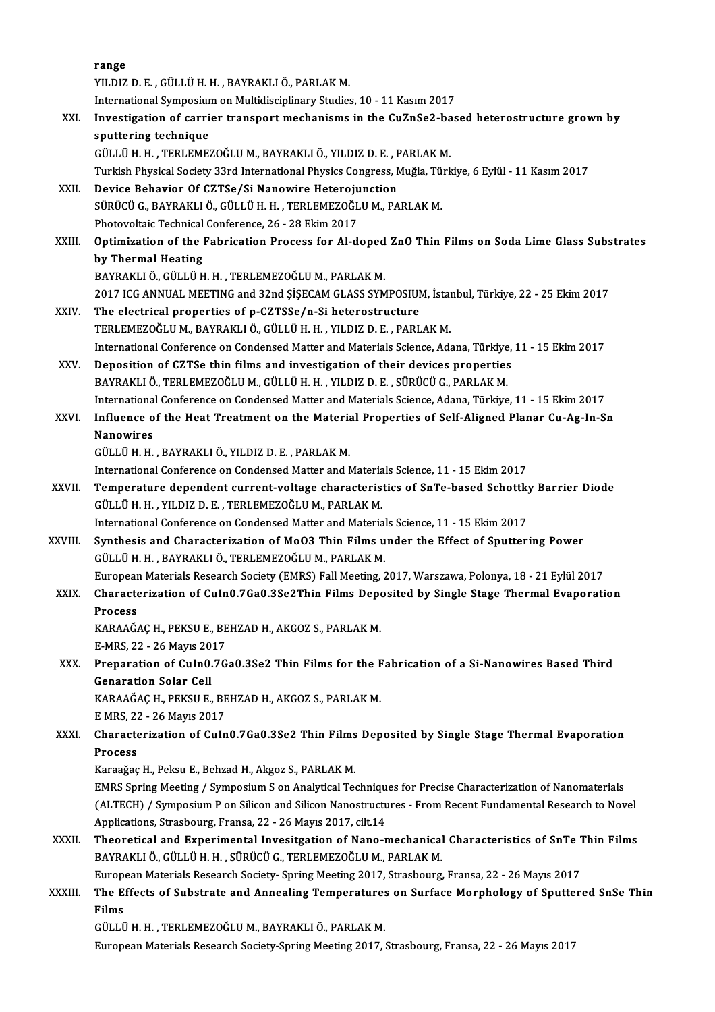|         | range                                                                                                                                                                                                |
|---------|------------------------------------------------------------------------------------------------------------------------------------------------------------------------------------------------------|
|         | YILDIZ D. E., GÜLLÜ H. H., BAYRAKLI Ö., PARLAK M.                                                                                                                                                    |
|         | International Symposium on Multidisciplinary Studies, 10 - 11 Kasım 2017                                                                                                                             |
| XXI.    | Investigation of carrier transport mechanisms in the CuZnSe2-based heterostructure grown by                                                                                                          |
|         | sputtering technique                                                                                                                                                                                 |
|         | GÜLLÜ H.H., TERLEMEZOĞLU M., BAYRAKLI Ö., YILDIZ D.E., PARLAK M.                                                                                                                                     |
|         | Turkish Physical Society 33rd International Physics Congress, Muğla, Türkiye, 6 Eylül - 11 Kasım 2017                                                                                                |
| XXII.   | Device Behavior Of CZTSe/Si Nanowire Heterojunction                                                                                                                                                  |
|         | SÜRÜCÜ G., BAYRAKLI Ö., GÜLLÜ H. H. , TERLEMEZOĞLU M., PARLAK M.                                                                                                                                     |
|         | Photovoltaic Technical Conference, 26 - 28 Ekim 2017                                                                                                                                                 |
| XXIII.  | Optimization of the Fabrication Process for Al-doped ZnO Thin Films on Soda Lime Glass Substrates                                                                                                    |
|         | by Thermal Heating                                                                                                                                                                                   |
|         | BAYRAKLI Ö., GÜLLÜ H. H., TERLEMEZOĞLU M., PARLAK M.                                                                                                                                                 |
|         | 2017 ICG ANNUAL MEETING and 32nd ŞİŞECAM GLASS SYMPOSIUM, İstanbul, Türkiye, 22 - 25 Ekim 2017                                                                                                       |
| XXIV.   | The electrical properties of p-CZTSSe/n-Si heterostructure                                                                                                                                           |
|         | TERLEMEZOĞLU M., BAYRAKLI Ö., GÜLLÜ H. H., YILDIZ D. E., PARLAK M.                                                                                                                                   |
|         | International Conference on Condensed Matter and Materials Science, Adana, Türkiye, 11 - 15 Ekim 2017                                                                                                |
| XXV.    | Deposition of CZTSe thin films and investigation of their devices properties                                                                                                                         |
|         | BAYRAKLI Ö., TERLEMEZOĞLU M., GÜLLÜ H. H., YILDIZ D. E., SÜRÜCÜ G., PARLAK M.                                                                                                                        |
|         | International Conference on Condensed Matter and Materials Science, Adana, Türkiye, 11 - 15 Ekim 2017                                                                                                |
| XXVI.   | Influence of the Heat Treatment on the Material Properties of Self-Aligned Planar Cu-Ag-In-Sn                                                                                                        |
|         | <b>Nanowires</b>                                                                                                                                                                                     |
|         | GÜLLÜ H. H., BAYRAKLI Ö., YILDIZ D. E., PARLAK M.                                                                                                                                                    |
|         | International Conference on Condensed Matter and Materials Science, 11 - 15 Ekim 2017                                                                                                                |
| XXVII.  | Temperature dependent current-voltage characteristics of SnTe-based Schottky Barrier Diode                                                                                                           |
|         | GÜLLÜ H. H., YILDIZ D. E., TERLEMEZOĞLU M., PARLAK M.                                                                                                                                                |
|         | International Conference on Condensed Matter and Materials Science, 11 - 15 Ekim 2017                                                                                                                |
| XXVIII. | Synthesis and Characterization of MoO3 Thin Films under the Effect of Sputtering Power                                                                                                               |
|         | GÜLLÜ H. H. . BAYRAKLI Ö., TERLEMEZOĞLU M., PARLAK M.                                                                                                                                                |
|         | European Materials Research Society (EMRS) Fall Meeting, 2017, Warszawa, Polonya, 18 - 21 Eylül 2017                                                                                                 |
| XXIX.   | Characterization of CuIn0.7Ga0.3Se2Thin Films Deposited by Single Stage Thermal Evaporation                                                                                                          |
|         | Process                                                                                                                                                                                              |
|         | KARAAĞAÇ H., PEKSU E., BEHZAD H., AKGOZ S., PARLAK M.                                                                                                                                                |
|         | E-MRS, 22 - 26 Mayıs 2017                                                                                                                                                                            |
| XXX.    | Preparation of CuIn0.7Ga0.3Se2 Thin Films for the Fabrication of a Si-Nanowires Based Third                                                                                                          |
|         | <b>Genaration Solar Cell</b>                                                                                                                                                                         |
|         | KARAAĞAÇ H., PEKSU E., BEHZAD H., AKGOZ S., PARLAK M.                                                                                                                                                |
|         | E MRS, 22 - 26 Mayıs 2017                                                                                                                                                                            |
| XXXI.   | Characterization of CuIn0.7Ga0.3Se2 Thin Films Deposited by Single Stage Thermal Evaporation                                                                                                         |
|         | Process                                                                                                                                                                                              |
|         | Karaağaç H., Peksu E., Behzad H., Akgoz S., PARLAK M.                                                                                                                                                |
|         | EMRS Spring Meeting / Symposium S on Analytical Techniques for Precise Characterization of Nanomaterials                                                                                             |
|         | (ALTECH) / Symposium P on Silicon and Silicon Nanostructures - From Recent Fundamental Research to Novel                                                                                             |
|         | Applications, Strasbourg, Fransa, 22 - 26 Mayıs 2017, cilt 14                                                                                                                                        |
| XXXII.  | Theoretical and Experimental Invesitgation of Nano-mechanical Characteristics of SnTe Thin Films<br>BAYRAKLI Ö., GÜLLÜ H. H., SÜRÜCÜ G., TERLEMEZOĞLU M., PARLAK M.                                  |
|         |                                                                                                                                                                                                      |
| XXXIII. | European Materials Research Society- Spring Meeting 2017, Strasbourg, Fransa, 22 - 26 Mayıs 2017<br>The Effects of Substrate and Annealing Temperatures on Surface Morphology of Sputtered SnSe Thin |
|         | Films                                                                                                                                                                                                |
|         | GÜLLÜ H.H., TERLEMEZOĞLU M., BAYRAKLI Ö., PARLAK M.                                                                                                                                                  |
|         | European Materials Research Society-Spring Meeting 2017, Strasbourg, Fransa, 22 - 26 Mayıs 2017                                                                                                      |
|         |                                                                                                                                                                                                      |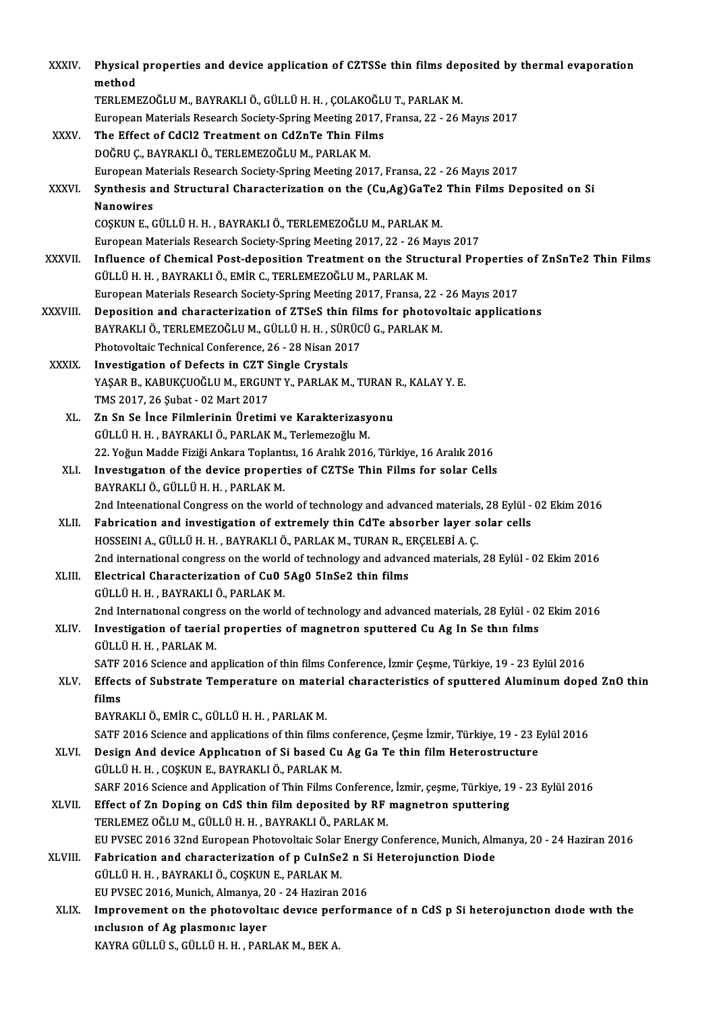| XXXIV.        | Physical properties and device application of CZTSSe thin films deposited by thermal evaporation<br>method |
|---------------|------------------------------------------------------------------------------------------------------------|
|               | TERLEMEZOĞLU M., BAYRAKLI Ö., GÜLLÜ H. H. , ÇOLAKOĞLU T., PARLAK M.                                        |
|               | European Materials Research Society-Spring Meeting 2017, Fransa, 22 - 26 Mayıs 2017                        |
| XXXV.         | The Effect of CdCl2 Treatment on CdZnTe Thin Films                                                         |
|               | DOĞRU Ç., BAYRAKLI Ö., TERLEMEZOĞLU M., PARLAK M.                                                          |
|               | European Materials Research Society-Spring Meeting 2017, Fransa, 22 - 26 Mayıs 2017                        |
| XXXVI.        | Synthesis and Structural Characterization on the (Cu,Ag)GaTe2 Thin Films Deposited on Si                   |
|               | Nanowires<br>COŞKUN E., GÜLLÜ H. H., BAYRAKLI Ö., TERLEMEZOĞLU M., PARLAK M.                               |
|               | European Materials Research Society-Spring Meeting 2017, 22 - 26 Mayıs 2017                                |
| <b>XXXVII</b> | Influence of Chemical Post-deposition Treatment on the Structural Properties of ZnSnTe2 Thin Films         |
|               | GÜLLÜ H. H., BAYRAKLI Ö., EMİR C., TERLEMEZOĞLU M., PARLAK M.                                              |
|               | European Materials Research Society-Spring Meeting 2017, Fransa, 22 - 26 Mayıs 2017                        |
| XXXVIII.      | Deposition and characterization of ZTSeS thin films for photovoltaic applications                          |
|               | BAYRAKLI Ö., TERLEMEZOĞLU M., GÜLLÜ H. H., SÜRÜCÜ G., PARLAK M.                                            |
|               | Photovoltaic Technical Conference, 26 - 28 Nisan 2017                                                      |
| XXXIX.        | Investigation of Defects in CZT Single Crystals                                                            |
|               | YAŞAR B., KABUKÇUOĞLU M., ERGUNT Y., PARLAK M., TURAN R., KALAY Y. E.                                      |
|               | TMS 2017, 26 Şubat - 02 Mart 2017                                                                          |
| XL.           | Zn Sn Se İnce Filmlerinin Üretimi ve Karakterizasyonu                                                      |
|               | GÜLLÜ H. H., BAYRAKLI Ö., PARLAK M., Terlemezoğlu M.                                                       |
|               | 22. Yoğun Madde Fiziği Ankara Toplantısı, 16 Aralık 2016, Türkiye, 16 Aralık 2016                          |
| XLI.          | Investigation of the device properties of CZTSe Thin Films for solar Cells                                 |
|               | BAYRAKLI Ö., GÜLLÜ H. H., PARLAK M.                                                                        |
|               | 2nd Inteenational Congress on the world of technology and advanced materials, 28 Eylül - 02 Ekim 2016      |
| XLII.         | Fabrication and investigation of extremely thin CdTe absorber layer solar cells                            |
|               | HOSSEINI A., GÜLLÜ H. H., BAYRAKLI Ö., PARLAK M., TURAN R., ERÇELEBİ A. Ç.                                 |
|               | 2nd international congress on the world of technology and advanced materials, 28 Eylül - 02 Ekim 2016      |
| XLIII.        | Electrical Characterization of Cu0 5Ag0 5InSe2 thin films                                                  |
|               | GÜLLÜ H. H., BAYRAKLI Ö., PARLAK M.                                                                        |
|               | 2nd International congress on the world of technology and advanced materials, 28 Eylül - 02 Ekim 2016      |
| XLIV.         | Investigation of taerial properties of magnetron sputtered Cu Ag In Se thin films                          |
|               | GÜLLÜ H. H., PARLAK M.                                                                                     |
|               | SATF 2016 Science and application of thin films Conference, İzmir Çeşme, Türkiye, 19 - 23 Eylül 2016       |
| XLV.          | Effects of Substrate Temperature on material characteristics of sputtered Aluminum doped ZnO thin<br>films |
|               | BAYRAKLI Ö., EMİR C., GÜLLÜ H. H., PARLAK M.                                                               |
|               | SATF 2016 Science and applications of thin films conference, Çeşme İzmir, Türkiye, 19 - 23 Eylül 2016      |
| XLVI.         | Design And device Application of Si based Cu Ag Ga Te thin film Heterostructure                            |
|               | GÜLLÜ H. H., COŞKUN E., BAYRAKLI Ö., PARLAK M.                                                             |
|               | SARF 2016 Science and Application of Thin Films Conference, İzmir, çeşme, Türkiye, 19 - 23 Eylül 2016      |
| XLVII.        | Effect of Zn Doping on CdS thin film deposited by RF magnetron sputtering                                  |
|               | TERLEMEZ OĞLU M., GÜLLÜ H. H., BAYRAKLI Ö., PARLAK M.                                                      |
|               | EU PVSEC 2016 32nd European Photovoltaic Solar Energy Conference, Munich, Almanya, 20 - 24 Haziran 2016    |
| XLVIII.       | Fabrication and characterization of p CuInSe2 n Si Heterojunction Diode                                    |
|               | GÜLLÜ H. H. , BAYRAKLI Ö., COŞKUN E., PARLAK M.                                                            |
|               | EU PVSEC 2016, Munich, Almanya, 20 - 24 Haziran 2016                                                       |
| XLIX.         | Improvement on the photovoltaic device performance of n CdS p Si heterojunction diode with the             |
|               | inclusion of Ag plasmonic layer                                                                            |
|               | KAYRA GÜLLÜ S., GÜLLÜ H. H., PARLAK M., BEK A.                                                             |
|               |                                                                                                            |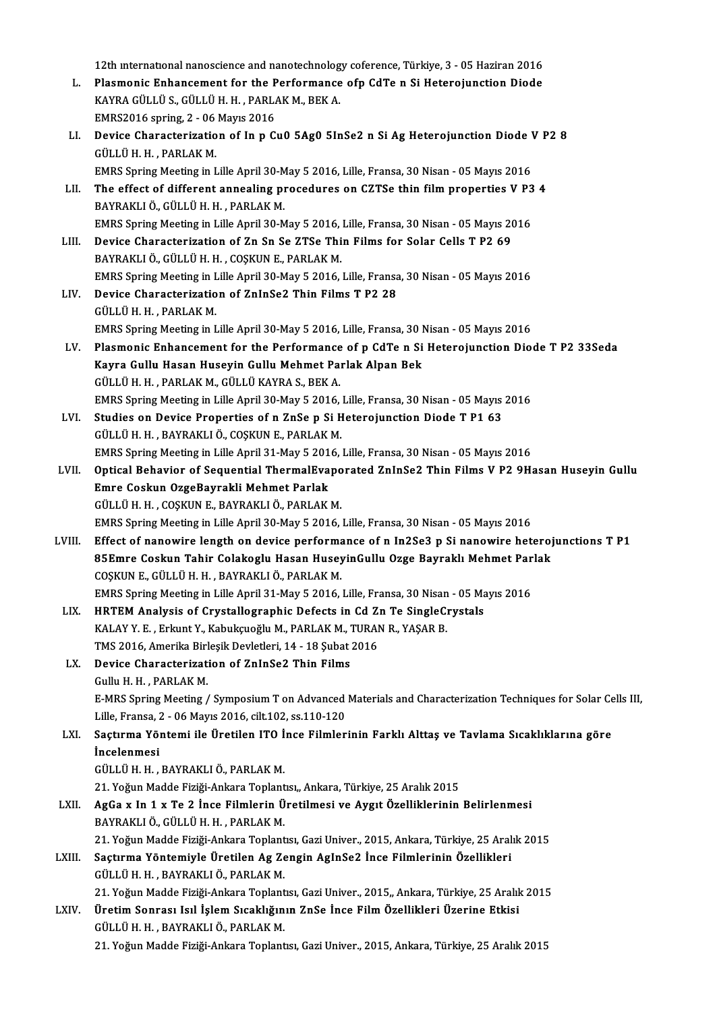12th international nanoscience and nanotechnology coference, Türkiye, 3 - 05 Haziran 2016<br>Plasmonia Enhancoment for the Borformance ofn GdTe n Si Hetopoiunation Diade

- 12th international nanoscience and nanotechnology coference, Türkiye, 3 05 Haziran 2016<br>L. Plasmonic Enhancement for the Performance ofp CdTe n Si Heterojunction Diode<br>KAVPA CÜLLÜS CÜLLÜ H.H. PAPLAK M. PEK A 12th international nanoscience and nanotechnolog<br>Plasmonic Enhancement for the Performance<br>KAYRA GÜLLÜ S., GÜLLÜ H. H. , PARLAK M., BEK A. L. Plasmonic Enhancement for the Performance ofp CdTe n Si Heterojunction Diode<br>KAYRA GÜLLÜ S., GÜLLÜ H. H., PARLAK M., BEK A. KAYRA GÜLLÜ S., GÜLLÜ H. H. , PARLAK M., BEK A.<br>EMRS2016 spring, 2 - 06 Mayıs 2016<br>LI. Device Characterization of In p Cu0 5Ag0 5InSe2 n Si Ag Heterojunction Diode V P2 8
- EMRS2016 spring, 2 06 Mayıs 2016<br>Device Characterization of In p C<br>GÜLLÜ H. H. , PARLAK M. Device Characterization of In p Cu0 5Ag0 5InSe2 n Si Ag Heterojunction Diode V<br>GÜLLÜ H. H. , PARLAK M.<br>EMRS Spring Meeting in Lille April 30-May 5 2016, Lille, Fransa, 30 Nisan - 05 Mayıs 2016<br>The effect of different annea
- LII. The effect of different annealing procedures on CZTSe thin film properties V P3 4<br>BAYRAKLI Ö., GÜLLÜ H. H., PARLAK M. EMRS Spring Meeting in Lille April 30-May 5 2016, Lille, Fransa, 30 Nisan - 05 Mayıs 2016 The effect of different annealing procedures on CZTSe thin film properties V P3<br>BAYRAKLI Ö., GÜLLÜ H. H. , PARLAK M.<br>EMRS Spring Meeting in Lille April 30-May 5 2016, Lille, Fransa, 30 Nisan - 05 Mayıs 2016<br>Davise Characte BAYRAKLI Ö., GÜLLÜ H. H. , PARLAK M.<br>EMRS Spring Meeting in Lille April 30-May 5 2016, Lille, Fransa, 30 Nisan - 05 Mayıs 20<br>LIII. Device Characterization of Zn Sn Se ZTSe Thin Films for Solar Cells T P2 69

- EMRS Spring Meeting in Lille April 30-May 5 2016,<br>Device Characterization of Zn Sn Se ZTSe Thi<br>BAYRAKLI Ö., GÜLLÜ H. H. , COŞKUN E., PARLAK M.<br>EMPS Spring Meeting in Lille April 30 May 5 2016. Device Characterization of Zn Sn Se ZTSe Thin Films for Solar Cells T P2 69<br>BAYRAKLI Ö., GÜLLÜ H. H. , COŞKUN E., PARLAK M.<br>EMRS Spring Meeting in Lille April 30-May 5 2016, Lille, Fransa, 30 Nisan - 05 Mayıs 2016<br>Devise C BAYRAKLI Ö., GÜLLÜ H. H., COŞKUN E., PARLAK M.<br>EMRS Spring Meeting in Lille April 30-May 5 2016, Lille, Fransa<br>LIV. Device Characterization of ZnInSe2 Thin Films T P2 28<br>GÜLLÜ H. H., PARLAK M.
- EMRS Spring Meeting in L<br>Device Characterizatio<br>GÜLLÜ H. H. , PARLAK M.<br>EMBS Spring Meeting in L Device Characterization of ZnInSe2 Thin Films T P2 28<br>GÜLLÜ H. H. , PARLAK M.<br>EMRS Spring Meeting in Lille April 30-May 5 2016, Lille, Fransa, 30 Nisan - 05 Mayıs 2016<br>Plasmonia Enhangoment for the Berformange of n GdTe n GÜLLÜ H. H. , PARLAK M.<br>EMRS Spring Meeting in Lille April 30-May 5 2016, Lille, Fransa, 30 Nisan - 05 Mayıs 2016<br>LV. Plasmonic Enhancement for the Performance of p CdTe n Si Heterojunction Diode T P2 33Seda<br>Kayra Gully Ha
- EMRS Spring Meeting in Lille April 30-May 5 2016, Lille, Fransa, 30 M<br>Plasmonic Enhancement for the Performance of p CdTe n Si<br>Kayra Gullu Hasan Huseyin Gullu Mehmet Parlak Alpan Bek<br>CÜLLÜ H.H., PARLAK M. CÜLLÜ KAYRA S. BE Plasmonic Enhancement for the Performance<br>Kayra Gullu Hasan Huseyin Gullu Mehmet Pa<br>GÜLLÜ H. H. , PARLAK M., GÜLLÜ KAYRA S., BEK A.<br>EMPS Spring Meeting in Lille April 20 Mey 5 2016 Kayra Gullu Hasan Huseyin Gullu Mehmet Parlak Alpan Bek<br>GÜLLÜ H. H. , PARLAK M., GÜLLÜ KAYRA S., BEK A.<br>EMRS Spring Meeting in Lille April 30-May 5 2016, Lille, Fransa, 30 Nisan - 05 Mayıs 2016<br>Studies en Devise Preperties GÜLLÜ H. H. , PARLAK M., GÜLLÜ KAYRA S., BEK A.<br>EMRS Spring Meeting in Lille April 30-May 5 2016, Lille, Fransa, 30 Nisan - 05 Mayıs<br>LVI. Studies on Device Properties of n ZnSe p Si Heterojunction Diode T P1 63
- EMRS Spring Meeting in Lille April 30-May 5 2016,<br>Studies on Device Properties of n ZnSe p Si H<br>GÜLLÜ H. H. , BAYRAKLI Ö., COŞKUN E., PARLAK M.<br>FMPS Spring Meeting in Lille April 31 May 5 2016 Studies on Device Properties of n ZnSe p Si Heterojunction Diode T P1 63<br>GÜLLÜ H. H. , BAYRAKLI Ö., COŞKUN E., PARLAK M.<br>EMRS Spring Meeting in Lille April 31-May 5 2016, Lille, Fransa, 30 Nisan - 05 Mayıs 2016<br>Ontical Beh GÜLLÜ H. H. , BAYRAKLI Ö., COŞKUN E., PARLAK M.<br>EMRS Spring Meeting in Lille April 31-May 5 2016, Lille, Fransa, 30 Nisan - 05 Mayıs 2016<br>LVII. Optical Behavior of Sequential ThermalEvaporated ZnInSe2 Thin Films V P2 9
- EMRS Spring Meeting in Lille April 31-May 5 201<br>Optical Behavior of Sequential ThermalEva<br>Emre Coskun OzgeBayrakli Mehmet Parlak<br>CÜLLÜ H.H. COSKUN E. BAYRAKLLÖ, BARLAK Optical Behavior of Sequential ThermalEvapo<br>Emre Coskun OzgeBayrakli Mehmet Parlak<br>GÜLLÜ H. H. , COŞKUN E., BAYRAKLI Ö., PARLAK M.<br>EMPS Spring Meeting in Lille April 30 May 5 2016 . Emre Coskun OzgeBayrakli Mehmet Parlak<br>GÜLLÜ H. H. , COŞKUN E., BAYRAKLI Ö., PARLAK M.<br>EMRS Spring Meeting in Lille April 30-May 5 2016, Lille, Fransa, 30 Nisan - 05 Mayıs 2016
- LVIII. Effect of nanowire length on device performance of n In2Se3 p Si nanowire heterojunctions T P1 EMRS Spring Meeting in Lille April 30-May 5 2016, Lille, Fransa, 30 Nisan - 05 Mayıs 2016<br>Effect of nanowire length on device performance of n In2Se3 p Si nanowire heteroj<br>85Emre Coskun Tahir Colakoglu Hasan HuseyinGullu O Effect of nanowire length on device performa<br>85Emre Coskun Tahir Colakoglu Hasan Husey<br>COŞKUN E., GÜLLÜ H. H. , BAYRAKLI Ö., PARLAK M.<br>EMPS Spring Meeting in Lille April 21 May 5 2016 85Emre Coskun Tahir Colakoglu Hasan HuseyinGullu Ozge Bayraklı Mehmet Par<br>COŞKUN E., GÜLLÜ H. H. , BAYRAKLI Ö., PARLAK M.<br>EMRS Spring Meeting in Lille April 31-May 5 2016, Lille, Fransa, 30 Nisan - 05 Mayıs 2016<br>HPTEM Anal COSKUN E., GÜLLÜ H. H. , BAYRAKLI Ö., PARLAK M.<br>EMRS Spring Meeting in Lille April 31-May 5 2016, Lille, Fransa, 30 Nisan - 05 Ma<br>LIX. HRTEM Analysis of Crystallographic Defects in Cd Zn Te SingleCrystals
	- EMRS Spring Meeting in Lille April 31-May 5 2016, Lille, Fransa, 30 Nisan<br>HRTEM Analysis of Crystallographic Defects in Cd Zn Te SingleC:<br>KALAY Y. E. , Erkunt Y., Kabukçuoğlu M., PARLAK M., TURAN R., YAŞAR B.<br>TMS 2016, Ame HRTEM Analysis of Crystallographic Defects in Cd Z:<br>KALAY Y. E. , Erkunt Y., Kabukçuoğlu M., PARLAK M., TURAI<br>TMS 2016, Amerika Birleşik Devletleri, 14 - 18 Şubat 2016<br>Devise Chanasterization of ZnInSe? Thin Eilme KALAY Y. E. , Erkunt Y., Kabukçuoğlu M., PARLAK M., TMS 2016, Amerika Birleşik Devletleri, 14 - 18 Şubat .<br>LX. Device Characterization of ZnInSe2 Thin Films
	- TMS 2016, Amerika Birl<br>Device Characterizat<br>Gullu H. H. , PARLAK M.<br>E MPS Saning Meeting Gullu H. H. , PARLAK M.<br>E-MRS Spring Meeting / Symposium T on Advanced Materials and Characterization Techniques for Solar Cells III, Gullu H. H. , PARLAK M.<br>E-MRS Spring Meeting / Symposium T on Advanced<br>Lille, Fransa, 2 - 06 Mayıs 2016, cilt.102, ss.110-120<br>Sasturma Vöntemi ile Üretilen ITO İnse Filmler
	- LXI. Saçtırma Yöntemi ile Üretilen ITO İnce Filmlerinin Farklı Alttaş ve Tavlama Sıcaklıklarına göre Lille, Fransa, 2<br>Saçtırma Yöı<br>İncelenmesi<br>Cüttü y GÜLLÜH.H. ,BAYRAKLIÖ.,PARLAKM. İncelenmesi<br>GÜLLÜ H. H. , BAYRAKLI Ö., PARLAK M.<br>21. Yoğun Madde Fiziği-Ankara Toplantısı,, Ankara, Türkiye, 25 Aralık 2015<br>AgÇe v. In 1. v. Te 2. İnge Filmlerin Ünetilmesi ve Avgut Özelliklerinin

- GÜLLÜ H. H. , BAYRAKLI Ö., PARLAK M.<br>21. Yoğun Madde Fiziği-Ankara Toplantısı., Ankara, Türkiye, 25 Aralık 2015<br>LXII. AgGa x In 1 x Te 2 İnce Filmlerin Üretilmesi ve Aygıt Özelliklerinin Belirlenmesi<br>PAYPAKLLÖ, GÜLLÜ H 21. Yoğun Madde Fiziği-Ankara Toplant<br>**AgGa x In 1 x Te 2 İnce Filmlerin Ü**<br>BAYRAKLI Ö., GÜLLÜ H. H. , PARLAK M.<br>21. Yoğun Madde Fiziği Ankara Toplant AgGa x In 1 x Te 2 İnce Filmlerin Üretilmesi ve Aygıt Özelliklerinin Belirlenmesi<br>BAYRAKLI Ö., GÜLLÜ H. H. , PARLAK M.<br>21. Yoğun Madde Fiziği-Ankara Toplantısı, Gazi Univer., 2015, Ankara, Türkiye, 25 Aralık 2015<br>Sastuma V BAYRAKLI Ö., GÜLLÜ H. H. , PARLAK M.<br>21. Yoğun Madde Fiziği-Ankara Toplantısı, Gazi Univer., 2015, Ankara, Türkiye, 25 Aralık 2015<br>1. Saçtırma Yöntemiyle Üretilen Ag Zengin AgInSe2 İnce Filmlerinin Özellikleri
- GÜLLÜH.H. ,BAYRAKLIÖ.,PARLAKM. Saçtırma Yöntemiyle Üretilen Ag Zengin AgInSe2 İnce Filmlerinin Özellikleri<br>GÜLLÜ H. H. , BAYRAKLI Ö., PARLAK M.<br>21. Yoğun Madde Fiziği-Ankara Toplantısı, Gazi Univer., 2015,, Ankara, Türkiye, 25 Aralık 2015<br>Ünetim Sonnası
- GÜLLÜ H. H. , BAYRAKLI Ö., PARLAK M.<br>21. Yoğun Madde Fiziği-Ankara Toplantısı, Gazi Univer., 2015., Ankara, Türkiye, 25 Aralık<br>LXIV. Üretim Sonrası Isıl İşlem Sıcaklığının ZnSe İnce Film Özellikleri Üzerine Etkisi 21. Yoğun Madde Fiziği-Ankara Toplant<br>Üretim Sonrası Isıl İşlem Sıcaklığın<br>GÜLLÜ H. H. , BAYRAKLI Ö., PARLAK M.<br>21. Yoğun Madde Fiziği Ankara Toplant Üretim Sonrası Isıl İşlem Sıcaklığının ZnSe İnce Film Özellikleri Üzerine Etkisi<br>GÜLLÜ H. H. , BAYRAKLI Ö., PARLAK M.<br>21. Yoğun Madde Fiziği-Ankara Toplantısı, Gazi Univer., 2015, Ankara, Türkiye, 25 Aralık 2015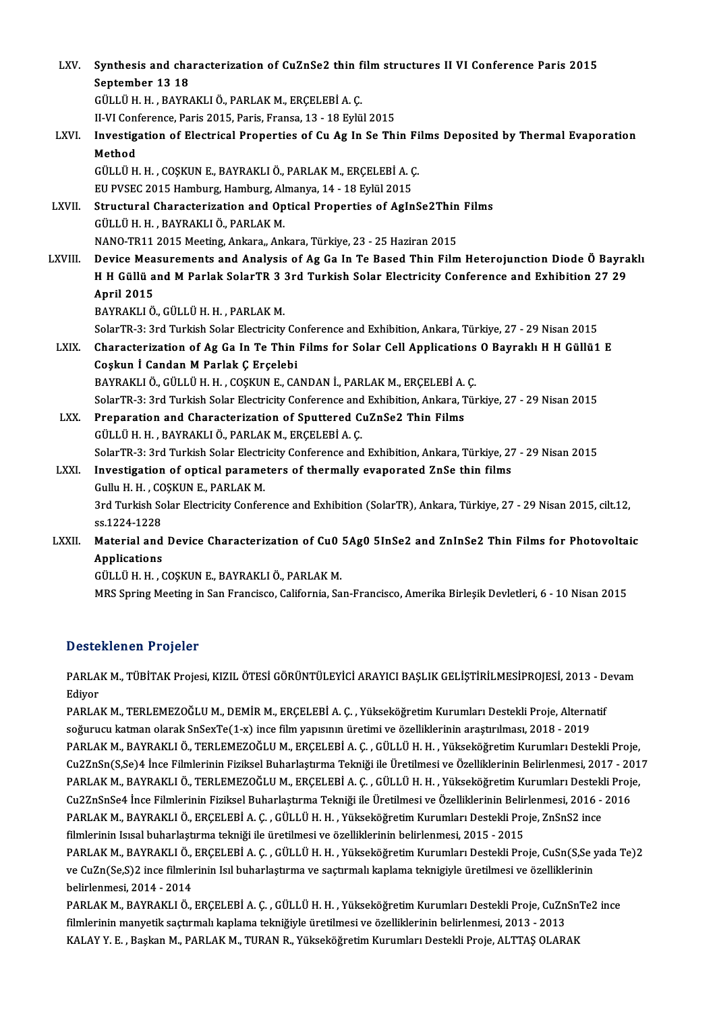| LXV.         | Synthesis and characterization of CuZnSe2 thin film structures II VI Conference Paris 2015                       |
|--------------|------------------------------------------------------------------------------------------------------------------|
|              | September 13 18                                                                                                  |
|              | GÜLLÜ H. H., BAYRAKLI Ö., PARLAK M., ERÇELEBİ A. Ç.                                                              |
|              | II-VI Conference, Paris 2015, Paris, Fransa, 13 - 18 Eylül 2015                                                  |
| LXVI.        | Investigation of Electrical Properties of Cu Ag In Se Thin Films Deposited by Thermal Evaporation<br>Method      |
|              | GÜLLÜ H. H., COŞKUN E., BAYRAKLI Ö., PARLAK M., ERÇELEBİ A. Ç.                                                   |
|              | EU PVSEC 2015 Hamburg, Hamburg, Almanya, 14 - 18 Eylül 2015                                                      |
| LXVII.       | Structural Characterization and Optical Properties of AgInSe2Thin Films                                          |
|              | GÜLLÜ H. H., BAYRAKLI Ö., PARLAK M.                                                                              |
|              | NANO-TR11 2015 Meeting, Ankara,, Ankara, Türkiye, 23 - 25 Haziran 2015                                           |
| LXVIII.      | Device Measurements and Analysis of Ag Ga In Te Based Thin Film Heterojunction Diode Ö Bayraklı                  |
|              | H H Güllü and M Parlak SolarTR 3 3rd Turkish Solar Electricity Conference and Exhibition 27 29                   |
|              | <b>April 2015</b>                                                                                                |
|              | BAYRAKLI Ö., GÜLLÜ H. H., PARLAK M.                                                                              |
|              | SolarTR-3: 3rd Turkish Solar Electricity Conference and Exhibition, Ankara, Türkiye, 27 - 29 Nisan 2015          |
| LXIX.        | Characterization of Ag Ga In Te Thin Films for Solar Cell Applications O Bayraklı H H Güllü1 E                   |
|              | Coşkun İ Candan M Parlak Ç Erçelebi                                                                              |
|              | BAYRAKLI Ö., GÜLLÜ H. H., COŞKUN E., CANDAN İ., PARLAK M., ERÇELEBİ A. Ç.                                        |
|              | SolarTR-3: 3rd Turkish Solar Electricity Conference and Exhibition, Ankara, Türkiye, 27 - 29 Nisan 2015          |
| LXX.         | Preparation and Characterization of Sputtered CuZnSe2 Thin Films                                                 |
|              | GÜLLÜ H. H., BAYRAKLI Ö., PARLAK M., ERÇELEBİ A. Ç.                                                              |
|              | SolarTR-3: 3rd Turkish Solar Electricity Conference and Exhibition, Ankara, Türkiye, 27 - 29 Nisan 2015          |
| <b>LXXI</b>  | Investigation of optical parameters of thermally evaporated ZnSe thin films                                      |
|              | Gullu H. H., COŞKUN E., PARLAK M.                                                                                |
|              | 3rd Turkish Solar Electricity Conference and Exhibition (SolarTR), Ankara, Türkiye, 27 - 29 Nisan 2015, cilt.12, |
|              | ss 1224-1228                                                                                                     |
| <b>LXXII</b> | Material and Device Characterization of Cu0 5Ag0 5InSe2 and ZnInSe2 Thin Films for Photovoltaic                  |
|              | Applications                                                                                                     |
|              | GÜLLÜ H. H. . COSKUN E. BAYRAKLI Ö. PARLAK M.                                                                    |

MRS Spring Meeting in San Francisco, California, San-Francisco, Amerika Birlesik Devletleri, 6 - 10 Nisan 2015

### Desteklenen Projeler

Desteklenen Projeler<br>PARLAK M., TÜBİTAK Projesi, KIZIL ÖTESİ GÖRÜNTÜLEYİCİ ARAYICI BAŞLIK GELİŞTİRİLMESİPROJESİ, 2013 - Devam<br>Ediyor PARLA<br>PARLA<br>Ediyor<br>PAPLA PARLAK M., TÜBİTAK Projesi, KIZIL ÖTESİ GÖRÜNTÜLEYİCİ ARAYICI BAŞLIK GELİŞTİRİLMESİPROJESİ, 2013 - D<br>Ediyor<br>PARLAK M., TERLEMEZOĞLU M., DEMİR M., ERÇELEBİ A. Ç. , Yükseköğretim Kurumları Destekli Proje, Alternatif<br>SOĞUFUSU

Ediyor<br>PARLAK M., TERLEMEZOĞLU M., DEMİR M., ERÇELEBİ A. Ç. , Yükseköğretim Kurumları Destekli Proje, Alternatif<br>soğurucu katman olarak SnSexTe(1-x) ince film yapısının üretimi ve özelliklerinin araştırılması, 2018 - 2019 PARLAK M., TERLEMEZOĞLU M., DEMİR M., ERÇELEBİ A. Ç. , Yükseköğretim Kurumları Destekli Proje, Alternatif<br>soğurucu katman olarak SnSexTe(1-x) ince film yapısının üretimi ve özelliklerinin araştırılması, 2018 - 2019<br>PARLAK Soğurucu katman olarak SnSexTe(1-x) ince film yapısının üretimi ve özelliklerinin araştırılması, 2018 - 2019<br>PARLAK M., BAYRAKLI Ö., TERLEMEZOĞLU M., ERÇELEBİ A. Ç. , GÜLLÜ H. H. , Yükseköğretim Kurumları Destekli Proje<br>Cu PARLAK M., BAYRAKLI Ö., TERLEMEZOĞLU M., ERÇELEBİ A. Ç. , GÜLLÜ H. H. , Yükseköğretim Kurumları Destekli Proje,<br>Cu2ZnSn(S,Se)4 İnce Filmlerinin Fiziksel Buharlaştırma Tekniği ile Üretilmesi ve Özelliklerinin Belirlenmesi, Cu2ZnSn(S,Se)4 İnce Filmlerinin Fiziksel Buharlaştırma Tekniği ile Üretilmesi ve Özelliklerinin Belirlenmesi, 2017 - 20<br>PARLAK M., BAYRAKLI Ö., TERLEMEZOĞLU M., ERÇELEBİ A. Ç. , GÜLLÜ H. H. , Yükseköğretim Kurumları Destek PARLAK M., BAYRAKLI Ö., TERLEMEZOĞLU M., ERÇELEBİ A. Ç. , GÜLLÜ H. H. , Yükseköğretim Kurumları Destekli Proje,<br>Cu2ZnSnSe4 İnce Filmlerinin Fiziksel Buharlaştırma Tekniği ile Üretilmesi ve Özelliklerinin Belirlenmesi, 2016 Cu2ZnSnSe4 İnce Filmlerinin Fiziksel Buharlaştırma Tekniği ile Üretilmesi ve Özelliklerinin Belir<br>PARLAK M., BAYRAKLI Ö., ERÇELEBİ A. Ç. , GÜLLÜ H. H. , Yükseköğretim Kurumları Destekli Pro<br>filmlerinin Isısal buharlaştırma PARLAK M., BAYRAKLI Ö., ERÇELEBİ A. Ç. , GÜLLÜ H. H. , Yükseköğretim Kurumları Destekli Proje, ZnSnS2 ince<br>filmlerinin Isısal buharlaştırma tekniği ile üretilmesi ve özelliklerinin belirlenmesi, 2015 - 2015<br>PARLAK M., BAYR

PARLAK M., BAYRAKLI Ö., ERÇELEBİ A. Ç. , GÜLLÜ H. H. , Yükseköğretim Kurumları Destekli Proje, CuSn(S,Se yada Te)2<br>ve CuZn(Se,S)2 ince filmlerinin Isıl buharlaştırma ve saçtırmalı kaplama teknigiyle üretilmesi ve özellikle belirlenmesi,2014 -2014

PARLAK M., BAYRAKLI Ö., ERÇELEBİ A. Ç. , GÜLLÜ H. H. , Yükseköğretim Kurumları Destekli Proje, CuZnSnTe2 ince belirlenmesi, 2014 - 2014<br>PARLAK M., BAYRAKLI Ö., ERÇELEBİ A. Ç. , GÜLLÜ H. H. , Yükseköğretim Kurumları Destekli Proje, CuZn:<br>filmlerinin manyetik saçtırmalı kaplama tekniğiyle üretilmesi ve özelliklerinin belirlenmesi, 2 PARLAK M., BAYRAKLI Ö., ERÇELEBİ A. Ç. , GÜLLÜ H. H. , Yükseköğretim Kurumları Destekli Proje, CuZnSn<br>filmlerinin manyetik saçtırmalı kaplama tekniğiyle üretilmesi ve özelliklerinin belirlenmesi, 2013 - 2013<br>KALAY Y. E. ,